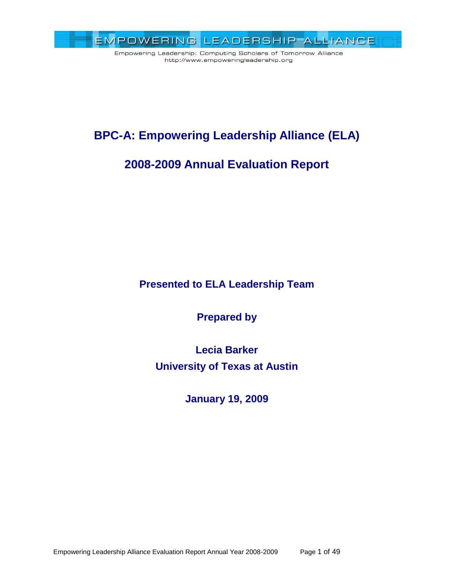

# **BPC-A: Empowering Leadership Alliance (ELA)**

# **2008-2009 Annual Evaluation Report**

**Presented to ELA Leadership Team**

**Prepared by**

**Lecia Barker University of Texas at Austin**

**January 19, 2009**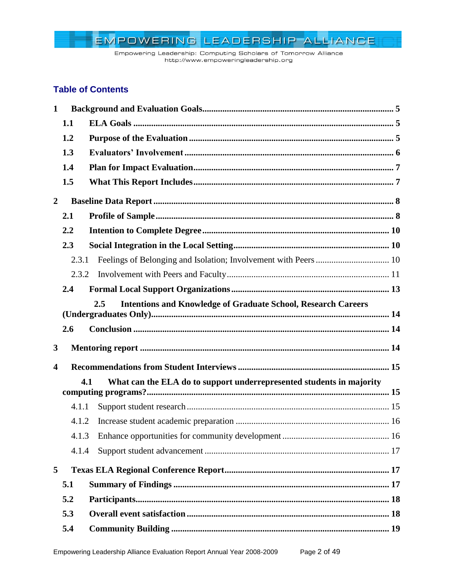Empowering Leadership: Computing Scholars of Tomorrow Alliance http://www.empoweringleadership.org

# **Table of Contents**

| $\mathbf 1$             |       |                                                                             |  |
|-------------------------|-------|-----------------------------------------------------------------------------|--|
|                         | 1.1   |                                                                             |  |
|                         | 1.2   |                                                                             |  |
|                         | 1.3   |                                                                             |  |
|                         | 1.4   |                                                                             |  |
|                         | 1.5   |                                                                             |  |
| $\overline{2}$          |       |                                                                             |  |
|                         | 2.1   |                                                                             |  |
|                         | 2.2   |                                                                             |  |
|                         | 2.3   |                                                                             |  |
|                         | 2.3.1 |                                                                             |  |
|                         | 2.3.2 |                                                                             |  |
|                         | 2.4   |                                                                             |  |
|                         |       | 2.5<br><b>Intentions and Knowledge of Graduate School, Research Careers</b> |  |
|                         | 2.6   |                                                                             |  |
|                         |       |                                                                             |  |
| $\mathbf{3}$            |       |                                                                             |  |
| $\overline{\mathbf{4}}$ |       |                                                                             |  |
|                         |       | 4.1<br>What can the ELA do to support underrepresented students in majority |  |
|                         |       |                                                                             |  |
|                         | 4.1.1 |                                                                             |  |
|                         | 4.1.2 |                                                                             |  |
|                         |       |                                                                             |  |
|                         | 4.1.4 |                                                                             |  |
| 5                       |       |                                                                             |  |
|                         | 5.1   |                                                                             |  |
|                         | 5.2   |                                                                             |  |
|                         | 5.3   |                                                                             |  |
|                         | 5.4   |                                                                             |  |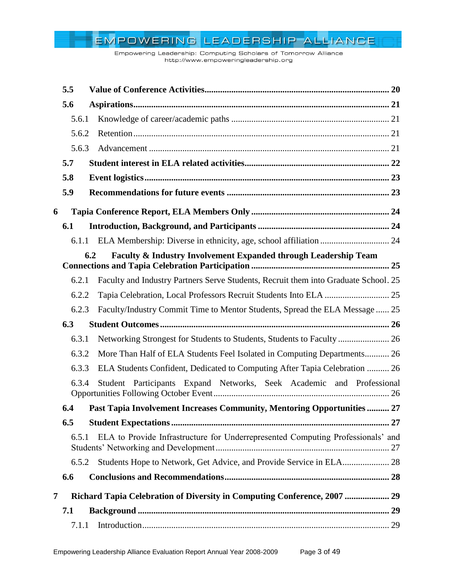Empowering Leadership: Computing Scholars of Tomorrow Alliance http://www.empoweringleadership.org

|   | 5.5   |                                                                                     |  |
|---|-------|-------------------------------------------------------------------------------------|--|
|   | 5.6   |                                                                                     |  |
|   | 5.6.1 |                                                                                     |  |
|   | 5.6.2 |                                                                                     |  |
|   | 5.6.3 |                                                                                     |  |
|   | 5.7   |                                                                                     |  |
|   | 5.8   |                                                                                     |  |
|   | 5.9   |                                                                                     |  |
| 6 |       |                                                                                     |  |
|   | 6.1   |                                                                                     |  |
|   |       | 6.1.1 ELA Membership: Diverse in ethnicity, age, school affiliation  24             |  |
|   |       | 6.2<br>Faculty & Industry Involvement Expanded through Leadership Team              |  |
|   | 6.2.1 | Faculty and Industry Partners Serve Students, Recruit them into Graduate School. 25 |  |
|   | 6.2.2 |                                                                                     |  |
|   | 6.2.3 | Faculty/Industry Commit Time to Mentor Students, Spread the ELA Message  25         |  |
|   | 6.3   |                                                                                     |  |
|   | 6.3.1 | Networking Strongest for Students to Students, Students to Faculty  26              |  |
|   | 6.3.2 | More Than Half of ELA Students Feel Isolated in Computing Departments 26            |  |
|   | 6.3.3 | ELA Students Confident, Dedicated to Computing After Tapia Celebration  26          |  |
|   | 6.3.4 | Student Participants Expand Networks, Seek Academic and Professional                |  |
|   | 6.4   | Past Tapia Involvement Increases Community, Mentoring Opportunities  27             |  |
|   | 6.5   |                                                                                     |  |
|   | 6.5.1 | ELA to Provide Infrastructure for Underrepresented Computing Professionals' and     |  |
|   | 6.5.2 | Students Hope to Network, Get Advice, and Provide Service in ELA 28                 |  |
|   | 6.6   |                                                                                     |  |
| 7 |       | Richard Tapia Celebration of Diversity in Computing Conference, 2007  29            |  |
|   | 7.1   |                                                                                     |  |
|   | 7.1.1 |                                                                                     |  |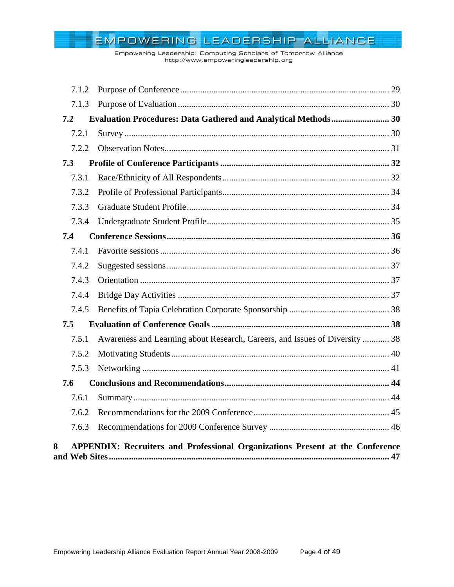Empowering Leadership: Computing Scholars of Tomorrow Alliance http://www.empoweringleadership.org

| 7.1.2 |                                                                                      |  |
|-------|--------------------------------------------------------------------------------------|--|
| 7.1.3 |                                                                                      |  |
| 7.2   | <b>Evaluation Procedures: Data Gathered and Analytical Methods 30</b>                |  |
| 7.2.1 |                                                                                      |  |
| 7.2.2 |                                                                                      |  |
| 7.3   |                                                                                      |  |
| 7.3.1 |                                                                                      |  |
| 7.3.2 |                                                                                      |  |
| 7.3.3 |                                                                                      |  |
| 7.3.4 |                                                                                      |  |
| 7.4   |                                                                                      |  |
| 7.4.1 |                                                                                      |  |
| 7.4.2 |                                                                                      |  |
| 7.4.3 |                                                                                      |  |
| 7.4.4 |                                                                                      |  |
| 7.4.5 |                                                                                      |  |
| 7.5   |                                                                                      |  |
| 7.5.1 | Awareness and Learning about Research, Careers, and Issues of Diversity  38          |  |
| 7.5.2 |                                                                                      |  |
| 7.5.3 |                                                                                      |  |
| 7.6   |                                                                                      |  |
| 7.6.1 |                                                                                      |  |
| 7.6.2 |                                                                                      |  |
| 7.6.3 |                                                                                      |  |
| 8     | <b>APPENDIX: Recruiters and Professional Organizations Present at the Conference</b> |  |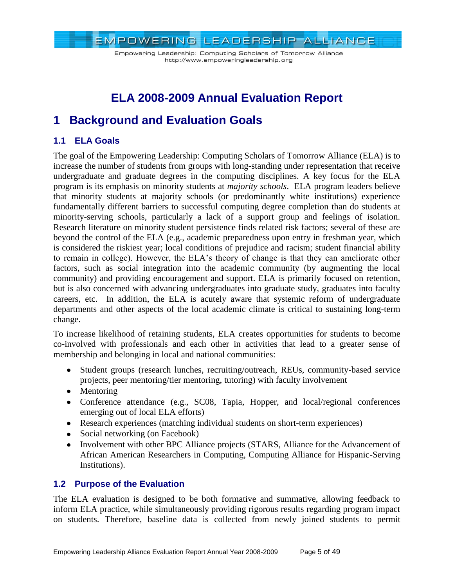Empowering Leadership: Computing Scholars of Tomorrow Alliance http://www.empoweringleadership.org

# **ELA 2008-2009 Annual Evaluation Report**

# <span id="page-4-0"></span>**1 Background and Evaluation Goals**

# <span id="page-4-1"></span>**1.1 ELA Goals**

The goal of the Empowering Leadership: Computing Scholars of Tomorrow Alliance (ELA) is to increase the number of students from groups with long-standing under representation that receive undergraduate and graduate degrees in the computing disciplines. A key focus for the ELA program is its emphasis on minority students at *majority schools*. ELA program leaders believe that minority students at majority schools (or predominantly white institutions) experience fundamentally different barriers to successful computing degree completion than do students at minority-serving schools, particularly a lack of a support group and feelings of isolation. Research literature on minority student persistence finds related risk factors; several of these are beyond the control of the ELA (e.g., academic preparedness upon entry in freshman year, which is considered the riskiest year; local conditions of prejudice and racism; student financial ability to remain in college). However, the ELA's theory of change is that they can ameliorate other factors, such as social integration into the academic community (by augmenting the local community) and providing encouragement and support. ELA is primarily focused on retention, but is also concerned with advancing undergraduates into graduate study, graduates into faculty careers, etc. In addition, the ELA is acutely aware that systemic reform of undergraduate departments and other aspects of the local academic climate is critical to sustaining long-term change.

To increase likelihood of retaining students, ELA creates opportunities for students to become co-involved with professionals and each other in activities that lead to a greater sense of membership and belonging in local and national communities:

- Student groups (research lunches, recruiting/outreach, REUs, community-based service projects, peer mentoring/tier mentoring, tutoring) with faculty involvement
- Mentoring
- Conference attendance (e.g., SC08, Tapia, Hopper, and local/regional conferences emerging out of local ELA efforts)
- Research experiences (matching individual students on short-term experiences)
- Social networking (on Facebook)
- Involvement with other BPC Alliance projects (STARS, Alliance for the Advancement of African American Researchers in Computing, Computing Alliance for Hispanic-Serving Institutions).

# <span id="page-4-2"></span>**1.2 Purpose of the Evaluation**

The ELA evaluation is designed to be both formative and summative, allowing feedback to inform ELA practice, while simultaneously providing rigorous results regarding program impact on students. Therefore, baseline data is collected from newly joined students to permit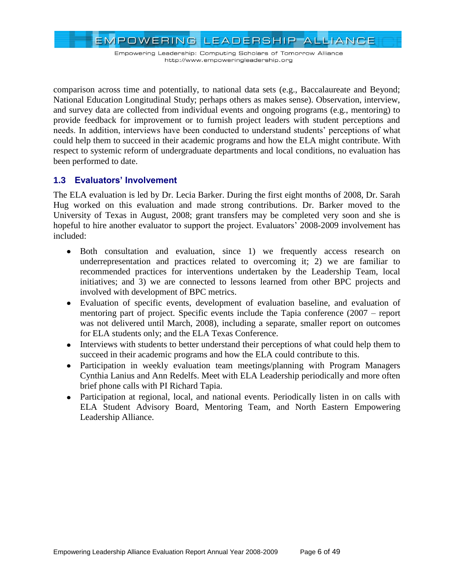EMPOWERING LEADERSHIP ALLIANCE

comparison across time and potentially, to national data sets (e.g., Baccalaureate and Beyond; National Education Longitudinal Study; perhaps others as makes sense). Observation, interview, and survey data are collected from individual events and ongoing programs (e.g., mentoring) to provide feedback for improvement or to furnish project leaders with student perceptions and needs. In addition, interviews have been conducted to understand students' perceptions of what could help them to succeed in their academic programs and how the ELA might contribute. With respect to systemic reform of undergraduate departments and local conditions, no evaluation has been performed to date.

# <span id="page-5-0"></span>**1.3 Evaluators' Involvement**

The ELA evaluation is led by Dr. Lecia Barker. During the first eight months of 2008, Dr. Sarah Hug worked on this evaluation and made strong contributions. Dr. Barker moved to the University of Texas in August, 2008; grant transfers may be completed very soon and she is hopeful to hire another evaluator to support the project. Evaluators' 2008-2009 involvement has included:

- Both consultation and evaluation, since 1) we frequently access research on underrepresentation and practices related to overcoming it; 2) we are familiar to recommended practices for interventions undertaken by the Leadership Team, local initiatives; and 3) we are connected to lessons learned from other BPC projects and involved with development of BPC metrics.
- Evaluation of specific events, development of evaluation baseline, and evaluation of mentoring part of project. Specific events include the Tapia conference (2007 – report was not delivered until March, 2008), including a separate, smaller report on outcomes for ELA students only; and the ELA Texas Conference.
- Interviews with students to better understand their perceptions of what could help them to succeed in their academic programs and how the ELA could contribute to this.
- Participation in weekly evaluation team meetings/planning with Program Managers Cynthia Lanius and Ann Redelfs. Meet with ELA Leadership periodically and more often brief phone calls with PI Richard Tapia.
- Participation at regional, local, and national events. Periodically listen in on calls with ELA Student Advisory Board, Mentoring Team, and North Eastern Empowering Leadership Alliance.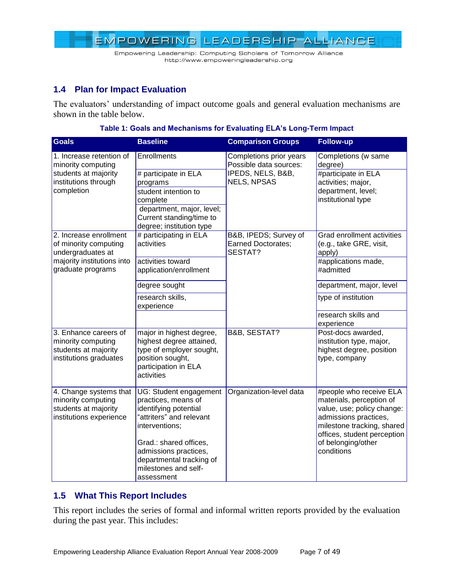

# <span id="page-6-0"></span>**1.4 Plan for Impact Evaluation**

The evaluators' understanding of impact outcome goals and general evaluation mechanisms are shown in the table below.

| <b>Goals</b>                                    | <b>Baseline</b>                                   | <b>Comparison Groups</b>                          | <b>Follow-up</b>                                    |
|-------------------------------------------------|---------------------------------------------------|---------------------------------------------------|-----------------------------------------------------|
| 1. Increase retention of<br>minority computing  | <b>Enrollments</b>                                | Completions prior years<br>Possible data sources: | Completions (w same<br>degree)                      |
| students at majority                            | # participate in ELA                              | IPEDS, NELS, B&B,                                 | #participate in ELA                                 |
| institutions through                            | programs                                          | <b>NELS, NPSAS</b>                                | activities; major,                                  |
| completion                                      | student intention to                              |                                                   | department, level;<br>institutional type            |
|                                                 | complete<br>department, major, level;             |                                                   |                                                     |
|                                                 | Current standing/time to                          |                                                   |                                                     |
|                                                 | degree; institution type                          |                                                   |                                                     |
| 2. Increase enrollment                          | # participating in ELA                            | B&B, IPEDS; Survey of                             | Grad enrollment activities                          |
| of minority computing                           | activities                                        | <b>Earned Doctorates;</b>                         | (e.g., take GRE, visit,                             |
| undergraduates at                               |                                                   | SESTAT?                                           | apply)                                              |
| majority institutions into<br>graduate programs | activities toward<br>application/enrollment       |                                                   | #applications made,<br>#admitted                    |
|                                                 |                                                   |                                                   |                                                     |
|                                                 | degree sought                                     |                                                   | department, major, level                            |
|                                                 | research skills,<br>experience                    |                                                   | type of institution                                 |
|                                                 |                                                   |                                                   | research skills and                                 |
|                                                 |                                                   |                                                   | experience                                          |
| 3. Enhance careers of                           | major in highest degree,                          | <b>B&amp;B, SESTAT?</b>                           | Post-docs awarded,                                  |
| minority computing                              | highest degree attained,                          |                                                   | institution type, major,                            |
| students at majority                            | type of employer sought,                          |                                                   | highest degree, position                            |
| institutions graduates                          | position sought,<br>participation in ELA          |                                                   | type, company                                       |
|                                                 | activities                                        |                                                   |                                                     |
|                                                 |                                                   |                                                   |                                                     |
| 4. Change systems that                          | UG: Student engagement                            | Organization-level data                           | #people who receive ELA                             |
| minority computing                              | practices, means of                               |                                                   | materials, perception of                            |
| students at majority                            | identifying potential<br>"attriters" and relevant |                                                   | value, use; policy change:                          |
| institutions experience                         | interventions;                                    |                                                   | admissions practices,<br>milestone tracking, shared |
|                                                 |                                                   |                                                   | offices, student perception                         |
|                                                 | Grad.: shared offices,                            |                                                   | of belonging/other                                  |
|                                                 | admissions practices,                             |                                                   | conditions                                          |
|                                                 | departmental tracking of                          |                                                   |                                                     |
|                                                 | milestones and self-                              |                                                   |                                                     |
|                                                 | assessment                                        |                                                   |                                                     |

| Table 1: Goals and Mechanisms for Evaluating ELA's Long-Term Impact |  |
|---------------------------------------------------------------------|--|
|                                                                     |  |

# <span id="page-6-1"></span>**1.5 What This Report Includes**

This report includes the series of formal and informal written reports provided by the evaluation during the past year. This includes: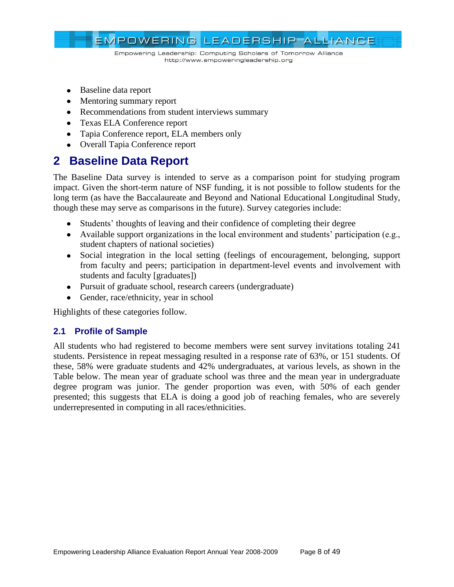

- Baseline data report
- Mentoring summary report
- Recommendations from student interviews summary
- Texas ELA Conference report
- Tapia Conference report, ELA members only
- Overall Tapia Conference report

# <span id="page-7-0"></span>**2 Baseline Data Report**

The Baseline Data survey is intended to serve as a comparison point for studying program impact. Given the short-term nature of NSF funding, it is not possible to follow students for the long term (as have the Baccalaureate and Beyond and National Educational Longitudinal Study, though these may serve as comparisons in the future). Survey categories include:

- Students' thoughts of leaving and their confidence of completing their degree
- Available support organizations in the local environment and students' participation (e.g., student chapters of national societies)
- Social integration in the local setting (feelings of encouragement, belonging, support from faculty and peers; participation in department-level events and involvement with students and faculty [graduates])
- Pursuit of graduate school, research careers (undergraduate)
- Gender, race/ethnicity, year in school

Highlights of these categories follow.

# <span id="page-7-1"></span>**2.1 Profile of Sample**

All students who had registered to become members were sent survey invitations totaling 241 students. Persistence in repeat messaging resulted in a response rate of 63%, or 151 students. Of these, 58% were graduate students and 42% undergraduates, at various levels, as shown in the Table below. The mean year of graduate school was three and the mean year in undergraduate degree program was junior. The gender proportion was even, with 50% of each gender presented; this suggests that ELA is doing a good job of reaching females, who are severely underrepresented in computing in all races/ethnicities.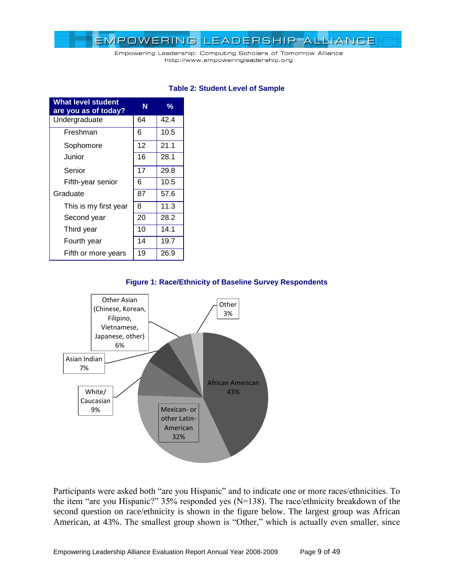Empowering Leadership: Computing Scholars of Tomorrow Alliance http://www.empoweringleadership.org

| <b>What level student</b><br>are you as of today? | N  | %    |
|---------------------------------------------------|----|------|
| Undergraduate                                     | 64 | 42.4 |
| Freshman                                          | 6  | 10.5 |
| Sophomore                                         | 12 | 21.1 |
| Junior                                            | 16 | 28.1 |
| Senior                                            | 17 | 29.8 |
| Fifth-year senior                                 | 6  | 10.5 |
| Graduate                                          | 87 | 57.6 |
| This is my first year                             | 8  | 11.3 |
| Second year                                       | 20 | 28.2 |
| Third year                                        | 10 | 14.1 |
| Fourth year                                       | 14 | 19.7 |
| Fifth or more years                               | 19 | 26.9 |

#### **Table 2: Student Level of Sample**

#### **Figure 1: Race/Ethnicity of Baseline Survey Respondents**



Participants were asked both "are you Hispanic" and to indicate one or more races/ethnicities. To the item "are you Hispanic?"  $35\%$  responded yes (N=138). The race/ethnicity breakdown of the second question on race/ethnicity is shown in the figure below. The largest group was African American, at 43%. The smallest group shown is "Other," which is actually even smaller, since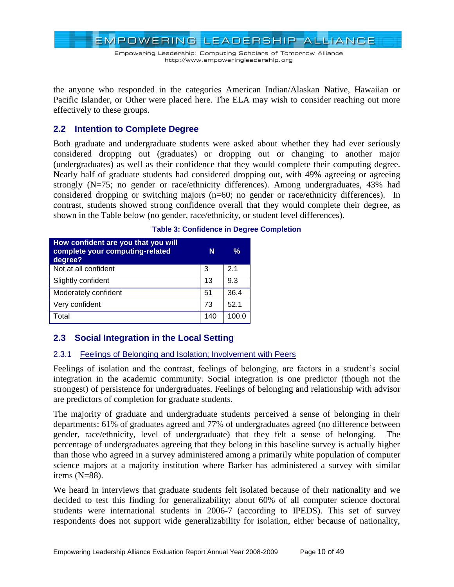Empowering Leadership: Computing Scholars of Tomorrow Alliance http://www.empoweringleadership.org

the anyone who responded in the categories American Indian/Alaskan Native, Hawaiian or Pacific Islander, or Other were placed here. The ELA may wish to consider reaching out more effectively to these groups.

### <span id="page-9-0"></span>**2.2 Intention to Complete Degree**

Both graduate and undergraduate students were asked about whether they had ever seriously considered dropping out (graduates) or dropping out or changing to another major (undergraduates) as well as their confidence that they would complete their computing degree. Nearly half of graduate students had considered dropping out, with 49% agreeing or agreeing strongly (N=75; no gender or race/ethnicity differences). Among undergraduates, 43% had considered dropping or switching majors (n=60; no gender or race/ethnicity differences). In contrast, students showed strong confidence overall that they would complete their degree, as shown in the Table below (no gender, race/ethnicity, or student level differences).

| How confident are you that you will<br>complete your computing-related<br>degree? | N   | %     |
|-----------------------------------------------------------------------------------|-----|-------|
| Not at all confident                                                              | 3   | 21    |
| Slightly confident                                                                | 13  | 9.3   |
| Moderately confident                                                              | 51  | 36.4  |
| Very confident                                                                    | 73  | 52.1  |
| Total                                                                             | 140 | 100.0 |

#### **Table 3: Confidence in Degree Completion**

# <span id="page-9-1"></span>**2.3 Social Integration in the Local Setting**

#### <span id="page-9-2"></span>2.3.1 Feelings of Belonging and Isolation; Involvement with Peers

Feelings of isolation and the contrast, feelings of belonging, are factors in a student's social integration in the academic community. Social integration is one predictor (though not the strongest) of persistence for undergraduates. Feelings of belonging and relationship with advisor are predictors of completion for graduate students.

The majority of graduate and undergraduate students perceived a sense of belonging in their departments: 61% of graduates agreed and 77% of undergraduates agreed (no difference between gender, race/ethnicity, level of undergraduate) that they felt a sense of belonging. The percentage of undergraduates agreeing that they belong in this baseline survey is actually higher than those who agreed in a survey administered among a primarily white population of computer science majors at a majority institution where Barker has administered a survey with similar items (N=88).

We heard in interviews that graduate students felt isolated because of their nationality and we decided to test this finding for generalizability; about 60% of all computer science doctoral students were international students in 2006-7 (according to IPEDS). This set of survey respondents does not support wide generalizability for isolation, either because of nationality,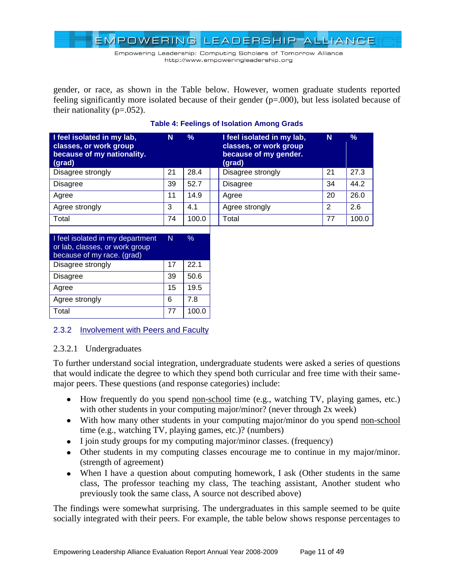Empowering Leadership: Computing Scholars of Tomorrow Alliance http://www.empoweringleadership.org

gender, or race, as shown in the Table below. However, women graduate students reported feeling significantly more isolated because of their gender (p=.000), but less isolated because of their nationality ( $p=.052$ ).

| I feel isolated in my lab,<br>classes, or work group<br>because of my nationality.<br>(grad) | N  | ℅     | I feel isolated in my lab,<br>classes, or work group<br>because of my gender.<br>(grad) | N  | %     |
|----------------------------------------------------------------------------------------------|----|-------|-----------------------------------------------------------------------------------------|----|-------|
| Disagree strongly                                                                            | 21 | 28.4  | Disagree strongly                                                                       | 21 | 27.3  |
| <b>Disagree</b>                                                                              | 39 | 52.7  | <b>Disagree</b>                                                                         | 34 | 44.2  |
| Agree                                                                                        | 11 | 14.9  | Agree                                                                                   | 20 | 26.0  |
| Agree strongly                                                                               | 3  | 4.1   | Agree strongly                                                                          | 2  | 2.6   |
| Total                                                                                        | 74 | 100.0 | Total                                                                                   | 77 | 100.0 |

#### **Table 4: Feelings of Isolation Among Grads**

| I feel isolated in my department<br>or lab, classes, or work group<br>because of my race. (grad) | N  | $\%$  |
|--------------------------------------------------------------------------------------------------|----|-------|
| Disagree strongly                                                                                | 17 | 22.1  |
| <b>Disagree</b>                                                                                  | 39 | 50.6  |
| Agree                                                                                            | 15 | 19.5  |
| Agree strongly                                                                                   | 6  | 7 8   |
| Total                                                                                            | 77 | 100.0 |

# <span id="page-10-0"></span>2.3.2 Involvement with Peers and Faculty

# 2.3.2.1 Undergraduates

To further understand social integration, undergraduate students were asked a series of questions that would indicate the degree to which they spend both curricular and free time with their samemajor peers. These questions (and response categories) include:

- How frequently do you spend non-school time (e.g., watching TV, playing games, etc.) with other students in your computing major/minor? (never through 2x week)
- With how many other students in your computing major/minor do you spend non-school time (e.g., watching TV, playing games, etc.)? (numbers)
- I join study groups for my computing major/minor classes. (frequency)
- Other students in my computing classes encourage me to continue in my major/minor. (strength of agreement)
- When I have a question about computing homework, I ask (Other students in the same class, The professor teaching my class, The teaching assistant, Another student who previously took the same class, A source not described above)

The findings were somewhat surprising. The undergraduates in this sample seemed to be quite socially integrated with their peers. For example, the table below shows response percentages to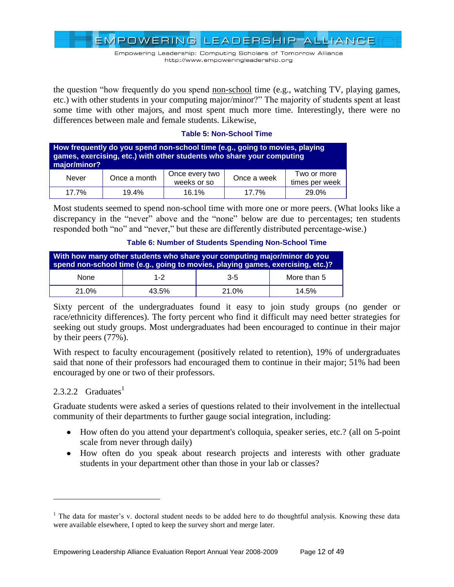Empowering Leadership: Computing Scholars of Tomorrow Alliance http://www.empoweringleadership.org

the question "how frequently do you spend non-school time (e.g., watching TV, playing games, etc.) with other students in your computing major/minor?" The majority of students spent at least some time with other majors, and most spent much more time. Interestingly, there were no differences between male and female students. Likewise,

#### **Table 5: Non-School Time**

| How frequently do you spend non-school time (e.g., going to movies, playing<br>games, exercising, etc.) with other students who share your computing<br>major/minor? |              |                               |             |                               |  |  |  |
|----------------------------------------------------------------------------------------------------------------------------------------------------------------------|--------------|-------------------------------|-------------|-------------------------------|--|--|--|
| Never                                                                                                                                                                | Once a month | Once every two<br>weeks or so | Once a week | Two or more<br>times per week |  |  |  |
| 17.7%                                                                                                                                                                | 19.4%        | 16.1%                         | 17.7%       | 29.0%                         |  |  |  |

Most students seemed to spend non-school time with more one or more peers. (What looks like a discrepancy in the "never" above and the "none" below are due to percentages; ten students responded both "no" and "never," but these are differently distributed percentage-wise.)

| With how many other students who share your computing major/minor do you<br>spend non-school time (e.g., going to movies, playing games, exercising, etc.)? |         |         |             |  |  |  |
|-------------------------------------------------------------------------------------------------------------------------------------------------------------|---------|---------|-------------|--|--|--|
| <b>None</b>                                                                                                                                                 | $1 - 2$ | $3 - 5$ | More than 5 |  |  |  |
| 21.0%                                                                                                                                                       | 43.5%   | 21.0%   | 14.5%       |  |  |  |

**Table 6: Number of Students Spending Non-School Time**

Sixty percent of the undergraduates found it easy to join study groups (no gender or race/ethnicity differences). The forty percent who find it difficult may need better strategies for seeking out study groups. Most undergraduates had been encouraged to continue in their major by their peers (77%).

With respect to faculty encouragement (positively related to retention), 19% of undergraduates said that none of their professors had encouraged them to continue in their major; 51% had been encouraged by one or two of their professors.

# 2.3.2.2  $Graduates<sup>1</sup>$

 $\overline{a}$ 

Graduate students were asked a series of questions related to their involvement in the intellectual community of their departments to further gauge social integration, including:

- How often do you attend your department's colloquia, speaker series, etc.? (all on 5-point scale from never through daily)
- How often do you speak about research projects and interests with other graduate students in your department other than those in your lab or classes?

<sup>&</sup>lt;sup>1</sup> The data for master's v. doctoral student needs to be added here to do thoughtful analysis. Knowing these data were available elsewhere, I opted to keep the survey short and merge later.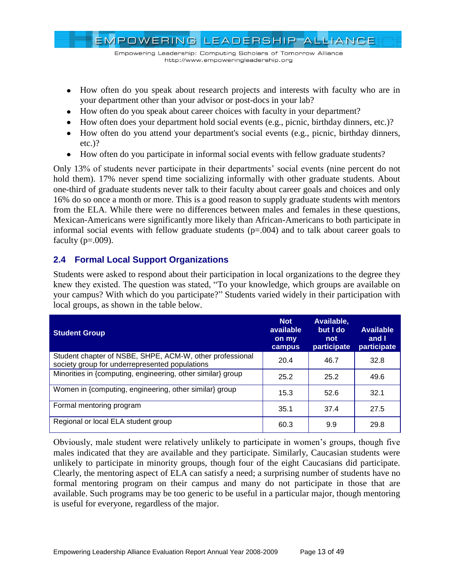

- How often do you speak about research projects and interests with faculty who are in your department other than your advisor or post-docs in your lab?
- How often do you speak about career choices with faculty in your department?
- How often does your department hold social events (e.g., picnic, birthday dinners, etc.)?
- How often do you attend your department's social events (e.g., picnic, birthday dinners, etc.)?
- How often do you participate in informal social events with fellow graduate students?

Only 13% of students never participate in their departments' social events (nine percent do not hold them). 17% never spend time socializing informally with other graduate students. About one-third of graduate students never talk to their faculty about career goals and choices and only 16% do so once a month or more. This is a good reason to supply graduate students with mentors from the ELA. While there were no differences between males and females in these questions, Mexican-Americans were significantly more likely than African-Americans to both participate in informal social events with fellow graduate students  $(p=0.004)$  and to talk about career goals to faculty  $(p=.009)$ .

# <span id="page-12-0"></span>**2.4 Formal Local Support Organizations**

Students were asked to respond about their participation in local organizations to the degree they knew they existed. The question was stated, "To your knowledge, which groups are available on your campus? With which do you participate?" Students varied widely in their participation with local groups, as shown in the table below.

| <b>Student Group</b>                                                                                       | <b>Not</b><br>available<br>on my<br>campus | Available.<br>but I do<br>not<br>participate | <b>Available</b><br>and I<br>participate |
|------------------------------------------------------------------------------------------------------------|--------------------------------------------|----------------------------------------------|------------------------------------------|
| Student chapter of NSBE, SHPE, ACM-W, other professional<br>society group for underrepresented populations | 20.4                                       | 46.7                                         | 32.8                                     |
| Minorities in {computing, engineering, other similar} group                                                | 25.2                                       | 25.2                                         | 49.6                                     |
| Women in {computing, engineering, other similar} group                                                     | 15.3                                       | 52.6                                         | 32.1                                     |
| Formal mentoring program                                                                                   | 35.1                                       | 37.4                                         | 27.5                                     |
| Regional or local ELA student group                                                                        | 60.3                                       | 9.9                                          | 29.8                                     |

Obviously, male student were relatively unlikely to participate in women's groups, though five males indicated that they are available and they participate. Similarly, Caucasian students were unlikely to participate in minority groups, though four of the eight Caucasians did participate. Clearly, the mentoring aspect of ELA can satisfy a need; a surprising number of students have no formal mentoring program on their campus and many do not participate in those that are available. Such programs may be too generic to be useful in a particular major, though mentoring is useful for everyone, regardless of the major.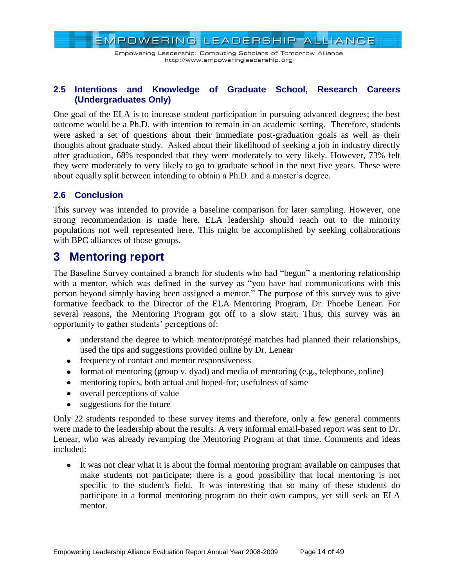Empowering Leadership: Computing Scholars of Tomorrow Alliance http://www.empoweringleadership.org

# <span id="page-13-0"></span>**2.5 Intentions and Knowledge of Graduate School, Research Careers (Undergraduates Only)**

One goal of the ELA is to increase student participation in pursuing advanced degrees; the best outcome would be a Ph.D. with intention to remain in an academic setting. Therefore, students were asked a set of questions about their immediate post-graduation goals as well as their thoughts about graduate study. Asked about their likelihood of seeking a job in industry directly after graduation, 68% responded that they were moderately to very likely. However, 73% felt they were moderately to very likely to go to graduate school in the next five years. These were about equally split between intending to obtain a Ph.D. and a master's degree.

# <span id="page-13-1"></span>**2.6 Conclusion**

This survey was intended to provide a baseline comparison for later sampling. However, one strong recommendation is made here. ELA leadership should reach out to the minority populations not well represented here. This might be accomplished by seeking collaborations with BPC alliances of those groups.

# <span id="page-13-2"></span>**3 Mentoring report**

The Baseline Survey contained a branch for students who had "begun" a mentoring relationship with a mentor, which was defined in the survey as "you have had communications with this person beyond simply having been assigned a mentor." The purpose of this survey was to give formative feedback to the Director of the ELA Mentoring Program, Dr. Phoebe Lenear. For several reasons, the Mentoring Program got off to a slow start. Thus, this survey was an opportunity to gather students' perceptions of:

- understand the degree to which mentor/protégé matches had planned their relationships, used the tips and suggestions provided online by Dr. Lenear
- frequency of contact and mentor responsiveness
- format of mentoring (group v. dyad) and media of mentoring (e.g., telephone, online)
- mentoring topics, both actual and hoped-for; usefulness of same
- overall perceptions of value
- suggestions for the future

Only 22 students responded to these survey items and therefore, only a few general comments were made to the leadership about the results. A very informal email-based report was sent to Dr. Lenear, who was already revamping the Mentoring Program at that time. Comments and ideas included:

It was not clear what it is about the formal mentoring program available on campuses that make students not participate; there is a good possibility that local mentoring is not specific to the student's field. It was interesting that so many of these students do participate in a formal mentoring program on their own campus, yet still seek an ELA mentor.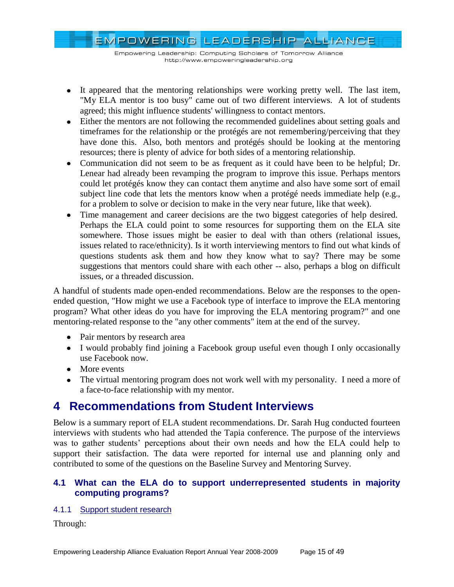Empowering Leadership: Computing Scholars of Tomorrow Alliance http://www.empoweringleadership.org

- It appeared that the mentoring relationships were working pretty well. The last item, "My ELA mentor is too busy" came out of two different interviews. A lot of students agreed; this might influence students' willingness to contact mentors.
- Either the mentors are not following the recommended guidelines about setting goals and timeframes for the relationship or the protégés are not remembering/perceiving that they have done this. Also, both mentors and protégés should be looking at the mentoring resources; there is plenty of advice for both sides of a mentoring relationship.
- Communication did not seem to be as frequent as it could have been to be helpful; Dr. Lenear had already been revamping the program to improve this issue. Perhaps mentors could let protégés know they can contact them anytime and also have some sort of email subject line code that lets the mentors know when a protégé needs immediate help (e.g., for a problem to solve or decision to make in the very near future, like that week).
- Time management and career decisions are the two biggest categories of help desired. Perhaps the ELA could point to some resources for supporting them on the ELA site somewhere. Those issues might be easier to deal with than others (relational issues, issues related to race/ethnicity). Is it worth interviewing mentors to find out what kinds of questions students ask them and how they know what to say? There may be some suggestions that mentors could share with each other -- also, perhaps a blog on difficult issues, or a threaded discussion.

A handful of students made open-ended recommendations. Below are the responses to the openended question, "How might we use a Facebook type of interface to improve the ELA mentoring program? What other ideas do you have for improving the ELA mentoring program?" and one mentoring-related response to the "any other comments" item at the end of the survey.

- Pair mentors by research area
- I would probably find joining a Facebook group useful even though I only occasionally use Facebook now.
- More events
- The virtual mentoring program does not work well with my personality. I need a more of a face-to-face relationship with my mentor.

# <span id="page-14-0"></span>**4 Recommendations from Student Interviews**

Below is a summary report of ELA student recommendations. Dr. Sarah Hug conducted fourteen interviews with students who had attended the Tapia conference. The purpose of the interviews was to gather students' perceptions about their own needs and how the ELA could help to support their satisfaction. The data were reported for internal use and planning only and contributed to some of the questions on the Baseline Survey and Mentoring Survey.

# <span id="page-14-1"></span>**4.1 What can the ELA do to support underrepresented students in majority computing programs?**

# <span id="page-14-2"></span>4.1.1 Support student research

Through: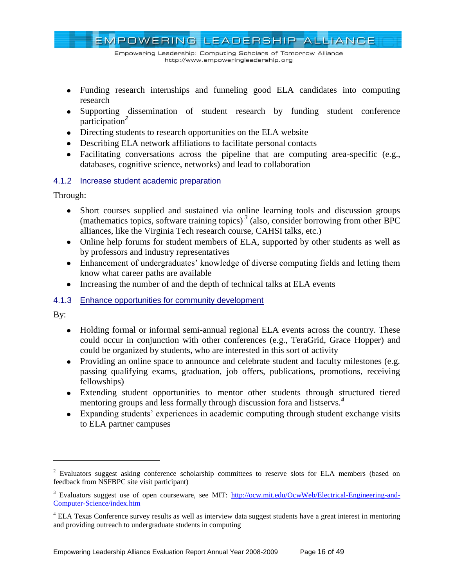EMPOWERING LEADERSHIP ALLIANCE Empowering Leadership: Computing Scholars of Tomorrow Alliance http://www.empoweringleadership.org

- Funding research internships and funneling good ELA candidates into computing research
- Supporting dissemination of student research by funding student conference participation*<sup>2</sup>*
- Directing students to research opportunities on the ELA website
- Describing ELA network affiliations to facilitate personal contacts
- Facilitating conversations across the pipeline that are computing area-specific (e.g., databases, cognitive science, networks) and lead to collaboration

# <span id="page-15-0"></span>4.1.2 Increase student academic preparation

Through:

- Short courses supplied and sustained via online learning tools and discussion groups (mathematics topics, software training topics)<sup>3</sup> (also, consider borrowing from other BPC alliances, like the Virginia Tech research course, CAHSI talks, etc.)
- Online help forums for student members of ELA, supported by other students as well as by professors and industry representatives
- Enhancement of undergraduates' knowledge of diverse computing fields and letting them know what career paths are available
- Increasing the number of and the depth of technical talks at ELA events

# <span id="page-15-1"></span>4.1.3 Enhance opportunities for community development

By:

 $\overline{a}$ 

- Holding formal or informal semi-annual regional ELA events across the country. These could occur in conjunction with other conferences (e.g., TeraGrid, Grace Hopper) and could be organized by students, who are interested in this sort of activity
- Providing an online space to announce and celebrate student and faculty milestones (e.g. passing qualifying exams, graduation, job offers, publications, promotions, receiving fellowships)
- Extending student opportunities to mentor other students through structured tiered mentoring groups and less formally through discussion fora and listservs.*<sup>4</sup>*
- Expanding students' experiences in academic computing through student exchange visits to ELA partner campuses

<sup>&</sup>lt;sup>2</sup> Evaluators suggest asking conference scholarship committees to reserve slots for ELA members (based on feedback from NSFBPC site visit participant)

<sup>&</sup>lt;sup>3</sup> Evaluators suggest use of open courseware, see MIT: [http://ocw.mit.edu/OcwWeb/Electrical-Engineering-and-](http://ocw.mit.edu/OcwWeb/Electrical-Engineering-and-Computer-Science/index.htm)[Computer-Science/index.htm](http://ocw.mit.edu/OcwWeb/Electrical-Engineering-and-Computer-Science/index.htm)

<sup>&</sup>lt;sup>4</sup> ELA Texas Conference survey results as well as interview data suggest students have a great interest in mentoring and providing outreach to undergraduate students in computing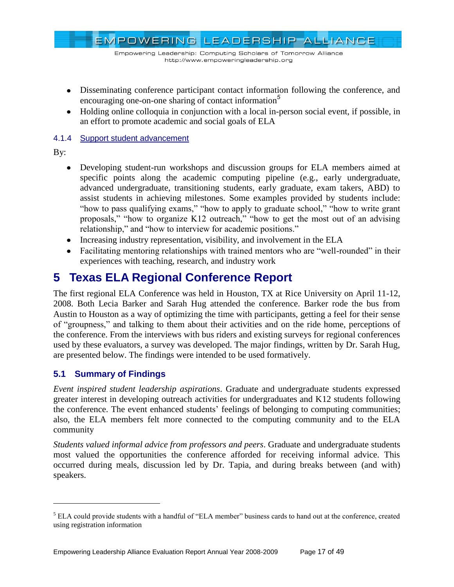EMPOWERING LEADERSHIP ALLIANCE

- Disseminating conference participant contact information following the conference, and encouraging one-on-one sharing of contact information*<sup>5</sup>*
- Holding online colloquia in conjunction with a local in-person social event, if possible, in an effort to promote academic and social goals of ELA

### <span id="page-16-0"></span>4.1.4 Support student advancement

By:

 $\overline{a}$ 

- Developing student-run workshops and discussion groups for ELA members aimed at specific points along the academic computing pipeline (e.g., early undergraduate, advanced undergraduate, transitioning students, early graduate, exam takers, ABD) to assist students in achieving milestones. Some examples provided by students include: "how to pass qualifying exams," "how to apply to graduate school," "how to write grant proposals," "how to organize K12 outreach," "how to get the most out of an advising relationship," and "how to interview for academic positions."
- Increasing industry representation, visibility, and involvement in the ELA
- Facilitating mentoring relationships with trained mentors who are "well-rounded" in their experiences with teaching, research, and industry work

# <span id="page-16-1"></span>**5 Texas ELA Regional Conference Report**

The first regional ELA Conference was held in Houston, TX at Rice University on April 11-12, 2008. Both Lecia Barker and Sarah Hug attended the conference. Barker rode the bus from Austin to Houston as a way of optimizing the time with participants, getting a feel for their sense of "groupness," and talking to them about their activities and on the ride home, perceptions of the conference. From the interviews with bus riders and existing surveys for regional conferences used by these evaluators, a survey was developed. The major findings, written by Dr. Sarah Hug, are presented below. The findings were intended to be used formatively.

# <span id="page-16-2"></span>**5.1 Summary of Findings**

*Event inspired student leadership aspirations*. Graduate and undergraduate students expressed greater interest in developing outreach activities for undergraduates and K12 students following the conference. The event enhanced students' feelings of belonging to computing communities; also, the ELA members felt more connected to the computing community and to the ELA community

*Students valued informal advice from professors and peers*. Graduate and undergraduate students most valued the opportunities the conference afforded for receiving informal advice. This occurred during meals, discussion led by Dr. Tapia, and during breaks between (and with) speakers.

 $<sup>5</sup>$  ELA could provide students with a handful of "ELA member" business cards to hand out at the conference, created</sup> using registration information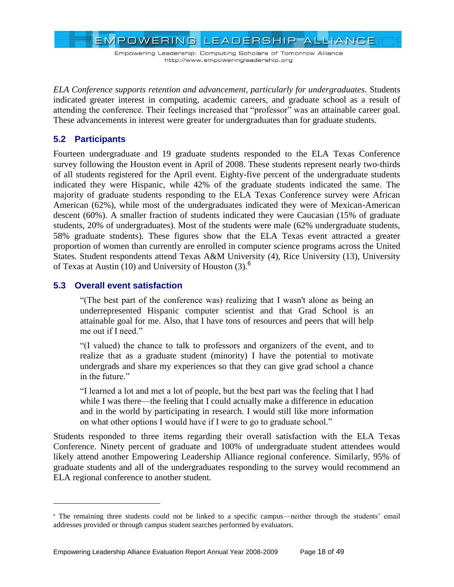EMPOWERING LEADERSHIP ALLIANCE

*ELA Conference supports retention and advancement, particularly for undergraduates.* Students indicated greater interest in computing, academic careers, and graduate school as a result of attending the conference. Their feelings increased that "professor" was an attainable career goal. These advancements in interest were greater for undergraduates than for graduate students.

# <span id="page-17-0"></span>**5.2 Participants**

Fourteen undergraduate and 19 graduate students responded to the ELA Texas Conference survey following the Houston event in April of 2008. These students represent nearly two-thirds of all students registered for the April event. Eighty-five percent of the undergraduate students indicated they were Hispanic, while 42% of the graduate students indicated the same. The majority of graduate students responding to the ELA Texas Conference survey were African American (62%), while most of the undergraduates indicated they were of Mexican-American descent (60%). A smaller fraction of students indicated they were Caucasian (15% of graduate students, 20% of undergraduates). Most of the students were male (62% undergraduate students, 58% graduate students). These figures show that the ELA Texas event attracted a greater proportion of women than currently are enrolled in computer science programs across the United States. Student respondents attend Texas A&M University (4), Rice University (13), University of Texas at Austin (10) and University of Houston  $(3)$ .<sup>6</sup>

# <span id="page-17-1"></span>**5.3 Overall event satisfaction**

 $\overline{a}$ 

―(The best part of the conference was) realizing that I wasn't alone as being an underrepresented Hispanic computer scientist and that Grad School is an attainable goal for me. Also, that I have tons of resources and peers that will help me out if I need."

―(I valued) the chance to talk to professors and organizers of the event, and to realize that as a graduate student (minority) I have the potential to motivate undergrads and share my experiences so that they can give grad school a chance in the future."

―I learned a lot and met a lot of people, but the best part was the feeling that I had while I was there—the feeling that I could actually make a difference in education and in the world by participating in research. I would still like more information on what other options I would have if I were to go to graduate school."

Students responded to three items regarding their overall satisfaction with the ELA Texas Conference. Ninety percent of graduate and 100% of undergraduate student attendees would likely attend another Empowering Leadership Alliance regional conference. Similarly, 95% of graduate students and all of the undergraduates responding to the survey would recommend an ELA regional conference to another student.

<sup>6</sup> The remaining three students could not be linked to a specific campus—neither through the students' email addresses provided or through campus student searches performed by evaluators.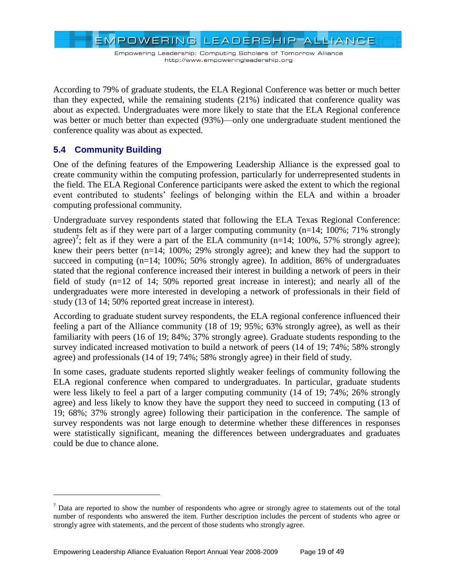EMPOWERING LEADERSHIP ALLIANCE

According to 79% of graduate students, the ELA Regional Conference was better or much better than they expected, while the remaining students (21%) indicated that conference quality was about as expected. Undergraduates were more likely to state that the ELA Regional conference was better or much better than expected (93%)—only one undergraduate student mentioned the conference quality was about as expected.

# <span id="page-18-0"></span>**5.4 Community Building**

 $\overline{a}$ 

One of the defining features of the Empowering Leadership Alliance is the expressed goal to create community within the computing profession, particularly for underrepresented students in the field. The ELA Regional Conference participants were asked the extent to which the regional event contributed to students' feelings of belonging within the ELA and within a broader computing professional community.

Undergraduate survey respondents stated that following the ELA Texas Regional Conference: students felt as if they were part of a larger computing community ( $n=14$ ; 100%; 71% strongly agree)<sup>7</sup>; felt as if they were a part of the ELA community (n=14; 100%, 57% strongly agree); knew their peers better (n=14; 100%; 29% strongly agree); and knew they had the support to succeed in computing (n=14; 100%; 50% strongly agree). In addition, 86% of undergraduates stated that the regional conference increased their interest in building a network of peers in their field of study (n=12 of 14; 50% reported great increase in interest); and nearly all of the undergraduates were more interested in developing a network of professionals in their field of study (13 of 14; 50% reported great increase in interest).

According to graduate student survey respondents, the ELA regional conference influenced their feeling a part of the Alliance community (18 of 19; 95%; 63% strongly agree), as well as their familiarity with peers (16 of 19; 84%; 37% strongly agree). Graduate students responding to the survey indicated increased motivation to build a network of peers (14 of 19; 74%; 58% strongly agree) and professionals (14 of 19; 74%; 58% strongly agree) in their field of study.

In some cases, graduate students reported slightly weaker feelings of community following the ELA regional conference when compared to undergraduates. In particular, graduate students were less likely to feel a part of a larger computing community (14 of 19; 74%; 26% strongly agree) and less likely to know they have the support they need to succeed in computing (13 of 19; 68%; 37% strongly agree) following their participation in the conference. The sample of survey respondents was not large enough to determine whether these differences in responses were statistically significant, meaning the differences between undergraduates and graduates could be due to chance alone.

 $<sup>7</sup>$  Data are reported to show the number of respondents who agree or strongly agree to statements out of the total</sup> number of respondents who answered the item. Further description includes the percent of students who agree or strongly agree with statements, and the percent of those students who strongly agree.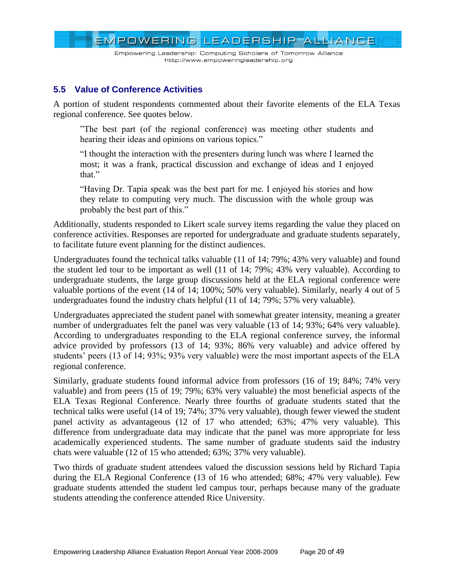Empowering Leadership: Computing Scholars of Tomorrow Alliance http://www.empoweringleadership.org

# <span id="page-19-0"></span>**5.5 Value of Conference Activities**

A portion of student respondents commented about their favorite elements of the ELA Texas regional conference. See quotes below.

‖The best part (of the regional conference) was meeting other students and hearing their ideas and opinions on various topics."

―I thought the interaction with the presenters during lunch was where I learned the most; it was a frank, practical discussion and exchange of ideas and I enjoyed that."

―Having Dr. Tapia speak was the best part for me. I enjoyed his stories and how they relate to computing very much. The discussion with the whole group was probably the best part of this."

Additionally, students responded to Likert scale survey items regarding the value they placed on conference activities. Responses are reported for undergraduate and graduate students separately, to facilitate future event planning for the distinct audiences.

Undergraduates found the technical talks valuable (11 of 14; 79%; 43% very valuable) and found the student led tour to be important as well (11 of 14; 79%; 43% very valuable). According to undergraduate students, the large group discussions held at the ELA regional conference were valuable portions of the event (14 of 14; 100%; 50% very valuable). Similarly, nearly 4 out of 5 undergraduates found the industry chats helpful (11 of 14; 79%; 57% very valuable).

Undergraduates appreciated the student panel with somewhat greater intensity, meaning a greater number of undergraduates felt the panel was very valuable (13 of 14; 93%; 64% very valuable). According to undergraduates responding to the ELA regional conference survey, the informal advice provided by professors (13 of 14; 93%; 86% very valuable) and advice offered by students' peers (13 of 14; 93%; 93% very valuable) were the most important aspects of the ELA regional conference.

Similarly, graduate students found informal advice from professors (16 of 19; 84%; 74% very valuable) and from peers (15 of 19; 79%; 63% very valuable) the most beneficial aspects of the ELA Texas Regional Conference. Nearly three fourths of graduate students stated that the technical talks were useful (14 of 19; 74%; 37% very valuable), though fewer viewed the student panel activity as advantageous (12 of 17 who attended; 63%; 47% very valuable). This difference from undergraduate data may indicate that the panel was more appropriate for less academically experienced students. The same number of graduate students said the industry chats were valuable (12 of 15 who attended; 63%; 37% very valuable).

Two thirds of graduate student attendees valued the discussion sessions held by Richard Tapia during the ELA Regional Conference (13 of 16 who attended; 68%; 47% very valuable). Few graduate students attended the student led campus tour, perhaps because many of the graduate students attending the conference attended Rice University.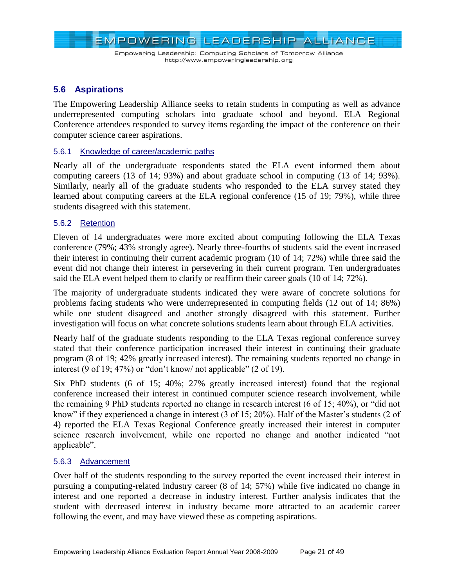

# <span id="page-20-0"></span>**5.6 Aspirations**

The Empowering Leadership Alliance seeks to retain students in computing as well as advance underrepresented computing scholars into graduate school and beyond. ELA Regional Conference attendees responded to survey items regarding the impact of the conference on their computer science career aspirations.

#### <span id="page-20-1"></span>5.6.1 Knowledge of career/academic paths

Nearly all of the undergraduate respondents stated the ELA event informed them about computing careers (13 of 14; 93%) and about graduate school in computing (13 of 14; 93%). Similarly, nearly all of the graduate students who responded to the ELA survey stated they learned about computing careers at the ELA regional conference (15 of 19; 79%), while three students disagreed with this statement.

#### <span id="page-20-2"></span>5.6.2 Retention

Eleven of 14 undergraduates were more excited about computing following the ELA Texas conference (79%; 43% strongly agree). Nearly three-fourths of students said the event increased their interest in continuing their current academic program (10 of 14; 72%) while three said the event did not change their interest in persevering in their current program. Ten undergraduates said the ELA event helped them to clarify or reaffirm their career goals (10 of 14; 72%).

The majority of undergraduate students indicated they were aware of concrete solutions for problems facing students who were underrepresented in computing fields (12 out of 14; 86%) while one student disagreed and another strongly disagreed with this statement. Further investigation will focus on what concrete solutions students learn about through ELA activities.

Nearly half of the graduate students responding to the ELA Texas regional conference survey stated that their conference participation increased their interest in continuing their graduate program (8 of 19; 42% greatly increased interest). The remaining students reported no change in interest (9 of 19; 47%) or "don't know/ not applicable" (2 of 19).

Six PhD students (6 of 15; 40%; 27% greatly increased interest) found that the regional conference increased their interest in continued computer science research involvement, while the remaining 9 PhD students reported no change in research interest  $(6 \text{ of } 15; 40\%)$ , or "did not know" if they experienced a change in interest  $(3 \text{ of } 15; 20\%)$ . Half of the Master's students  $(2 \text{ of } 15; 20\%)$ 4) reported the ELA Texas Regional Conference greatly increased their interest in computer science research involvement, while one reported no change and another indicated "not applicable".

#### <span id="page-20-3"></span>5.6.3 Advancement

Over half of the students responding to the survey reported the event increased their interest in pursuing a computing-related industry career (8 of 14; 57%) while five indicated no change in interest and one reported a decrease in industry interest. Further analysis indicates that the student with decreased interest in industry became more attracted to an academic career following the event, and may have viewed these as competing aspirations.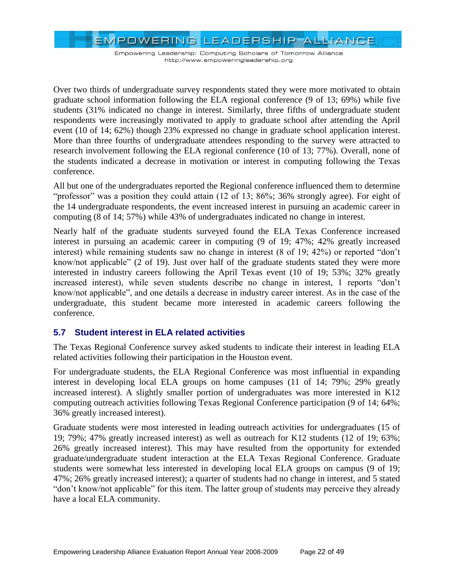EMPOWERING LEADERSHIP ALLIANCE

Over two thirds of undergraduate survey respondents stated they were more motivated to obtain graduate school information following the ELA regional conference (9 of 13; 69%) while five students (31% indicated no change in interest. Similarly, three fifths of undergraduate student respondents were increasingly motivated to apply to graduate school after attending the April event (10 of 14; 62%) though 23% expressed no change in graduate school application interest. More than three fourths of undergraduate attendees responding to the survey were attracted to research involvement following the ELA regional conference (10 of 13; 77%). Overall, none of the students indicated a decrease in motivation or interest in computing following the Texas conference.

All but one of the undergraduates reported the Regional conference influenced them to determine "professor" was a position they could attain  $(12 \text{ of } 13; 86\%; 36\%$  strongly agree). For eight of the 14 undergraduate respondents, the event increased interest in pursuing an academic career in computing (8 of 14; 57%) while 43% of undergraduates indicated no change in interest.

Nearly half of the graduate students surveyed found the ELA Texas Conference increased interest in pursuing an academic career in computing (9 of 19; 47%; 42% greatly increased interest) while remaining students saw no change in interest  $(8 \text{ of } 19; 42\%)$  or reported "don't know/not applicable" (2 of 19). Just over half of the graduate students stated they were more interested in industry careers following the April Texas event (10 of 19; 53%; 32% greatly increased interest), while seven students describe no change in interest, 1 reports "don't know/not applicable", and one details a decrease in industry career interest. As in the case of the undergraduate, this student became more interested in academic careers following the conference.

# <span id="page-21-0"></span>**5.7 Student interest in ELA related activities**

The Texas Regional Conference survey asked students to indicate their interest in leading ELA related activities following their participation in the Houston event.

For undergraduate students, the ELA Regional Conference was most influential in expanding interest in developing local ELA groups on home campuses (11 of 14; 79%; 29% greatly increased interest). A slightly smaller portion of undergraduates was more interested in K12 computing outreach activities following Texas Regional Conference participation (9 of 14; 64%; 36% greatly increased interest).

Graduate students were most interested in leading outreach activities for undergraduates (15 of 19; 79%; 47% greatly increased interest) as well as outreach for K12 students (12 of 19; 63%; 26% greatly increased interest). This may have resulted from the opportunity for extended graduate/undergraduate student interaction at the ELA Texas Regional Conference. Graduate students were somewhat less interested in developing local ELA groups on campus (9 of 19; 47%; 26% greatly increased interest); a quarter of students had no change in interest, and 5 stated "don't know/not applicable" for this item. The latter group of students may perceive they already have a local ELA community.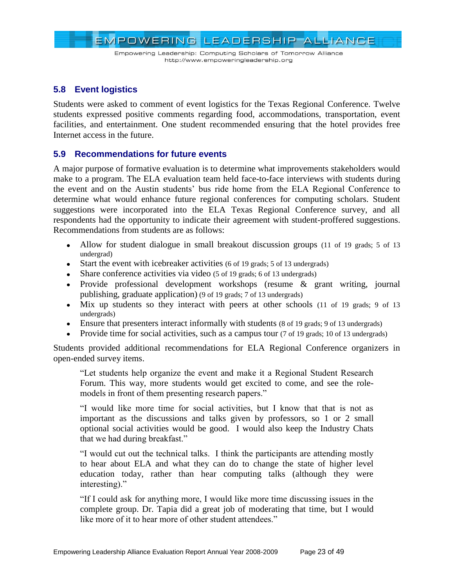

# <span id="page-22-0"></span>**5.8 Event logistics**

Students were asked to comment of event logistics for the Texas Regional Conference. Twelve students expressed positive comments regarding food, accommodations, transportation, event facilities, and entertainment. One student recommended ensuring that the hotel provides free Internet access in the future.

# <span id="page-22-1"></span>**5.9 Recommendations for future events**

A major purpose of formative evaluation is to determine what improvements stakeholders would make to a program. The ELA evaluation team held face-to-face interviews with students during the event and on the Austin students' bus ride home from the ELA Regional Conference to determine what would enhance future regional conferences for computing scholars. Student suggestions were incorporated into the ELA Texas Regional Conference survey, and all respondents had the opportunity to indicate their agreement with student-proffered suggestions. Recommendations from students are as follows:

- Allow for student dialogue in small breakout discussion groups (11 of 19 grads; 5 of 13 undergrad)
- Start the event with icebreaker activities (6 of 19 grads; 5 of 13 undergrads)
- Share conference activities via video (5 of 19 grads; 6 of 13 undergrads)
- Provide professional development workshops (resume & grant writing, journal publishing, graduate application) (9 of 19 grads; 7 of 13 undergrads)
- Mix up students so they interact with peers at other schools (11 of 19 grads; 9 of 13 undergrads)
- Ensure that presenters interact informally with students (8 of 19 grads; 9 of 13 undergrads)
- Provide time for social activities, such as a campus tour (7 of 19 grads; 10 of 13 undergrads)  $\bullet$

Students provided additional recommendations for ELA Regional Conference organizers in open-ended survey items.

―Let students help organize the event and make it a Regional Student Research Forum. This way, more students would get excited to come, and see the rolemodels in front of them presenting research papers."

―I would like more time for social activities, but I know that that is not as important as the discussions and talks given by professors, so 1 or 2 small optional social activities would be good. I would also keep the Industry Chats that we had during breakfast."

―I would cut out the technical talks. I think the participants are attending mostly to hear about ELA and what they can do to change the state of higher level education today, rather than hear computing talks (although they were interesting)."

―If I could ask for anything more, I would like more time discussing issues in the complete group. Dr. Tapia did a great job of moderating that time, but I would like more of it to hear more of other student attendees."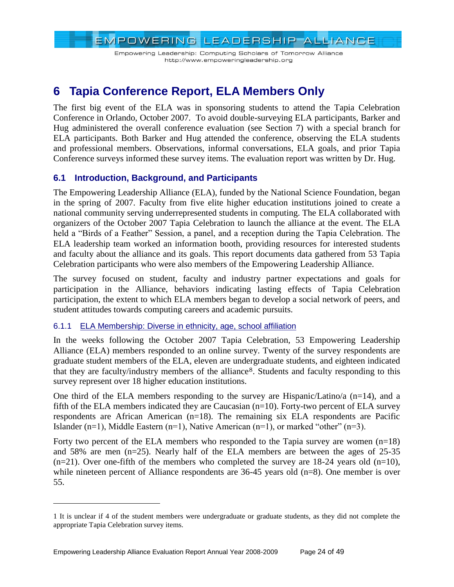Empowering Leadership: Computing Scholars of Tomorrow Alliance http://www.empoweringleadership.org

# <span id="page-23-0"></span>**6 Tapia Conference Report, ELA Members Only**

The first big event of the ELA was in sponsoring students to attend the Tapia Celebration Conference in Orlando, October 2007. To avoid double-surveying ELA participants, Barker and Hug administered the overall conference evaluation (see Section 7) with a special branch for ELA participants. Both Barker and Hug attended the conference, observing the ELA students and professional members. Observations, informal conversations, ELA goals, and prior Tapia Conference surveys informed these survey items. The evaluation report was written by Dr. Hug.

# <span id="page-23-1"></span>**6.1 Introduction, Background, and Participants**

The Empowering Leadership Alliance (ELA), funded by the National Science Foundation, began in the spring of 2007. Faculty from five elite higher education institutions joined to create a national community serving underrepresented students in computing. The ELA collaborated with organizers of the October 2007 Tapia Celebration to launch the alliance at the event. The ELA held a "Birds of a Feather" Session, a panel, and a reception during the Tapia Celebration. The ELA leadership team worked an information booth, providing resources for interested students and faculty about the alliance and its goals. This report documents data gathered from 53 Tapia Celebration participants who were also members of the Empowering Leadership Alliance.

The survey focused on student, faculty and industry partner expectations and goals for participation in the Alliance, behaviors indicating lasting effects of Tapia Celebration participation, the extent to which ELA members began to develop a social network of peers, and student attitudes towards computing careers and academic pursuits.

# <span id="page-23-2"></span>6.1.1 ELA Membership: Diverse in ethnicity, age, school affiliation

In the weeks following the October 2007 Tapia Celebration, 53 Empowering Leadership Alliance (ELA) members responded to an online survey. Twenty of the survey respondents are graduate student members of the ELA, eleven are undergraduate students, and eighteen indicated that they are faculty/industry members of the alliance8. Students and faculty responding to this survey represent over 18 higher education institutions.

One third of the ELA members responding to the survey are Hispanic/Latino/a  $(n=14)$ , and a fifth of the ELA members indicated they are Caucasian (n=10). Forty-two percent of ELA survey respondents are African American (n=18). The remaining six ELA respondents are Pacific Islander (n=1), Middle Eastern (n=1), Native American (n=1), or marked "other" (n=3).

Forty two percent of the ELA members who responded to the Tapia survey are women  $(n=18)$ and 58% are men (n=25). Nearly half of the ELA members are between the ages of 25-35  $(n=21)$ . Over one-fifth of the members who completed the survey are 18-24 years old  $(n=10)$ , while nineteen percent of Alliance respondents are 36-45 years old (n=8). One member is over 55.

 $\overline{a}$ 

<sup>1</sup> It is unclear if 4 of the student members were undergraduate or graduate students, as they did not complete the appropriate Tapia Celebration survey items.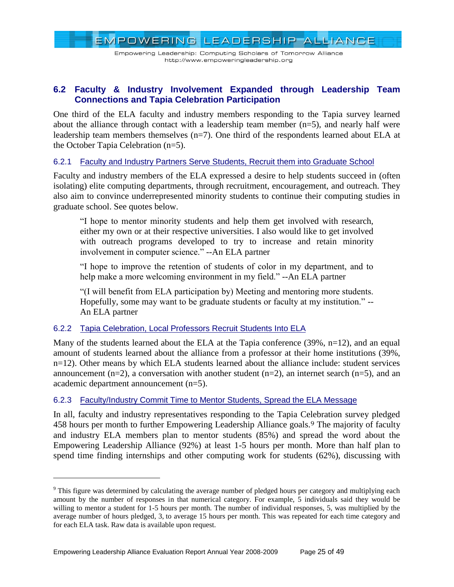EMPOWERING LEADERSHIP ALLIANCE Empowering Leadership: Computing Scholars of Tomorrow Alliance http://www.empoweringleadership.org

# <span id="page-24-0"></span>**6.2 Faculty & Industry Involvement Expanded through Leadership Team Connections and Tapia Celebration Participation**

One third of the ELA faculty and industry members responding to the Tapia survey learned about the alliance through contact with a leadership team member  $(n=5)$ , and nearly half were leadership team members themselves (n=7). One third of the respondents learned about ELA at the October Tapia Celebration (n=5).

### <span id="page-24-1"></span>6.2.1 Faculty and Industry Partners Serve Students, Recruit them into Graduate School

Faculty and industry members of the ELA expressed a desire to help students succeed in (often isolating) elite computing departments, through recruitment, encouragement, and outreach. They also aim to convince underrepresented minority students to continue their computing studies in graduate school. See quotes below.

―I hope to mentor minority students and help them get involved with research, either my own or at their respective universities. I also would like to get involved with outreach programs developed to try to increase and retain minority involvement in computer science." --An ELA partner

―I hope to improve the retention of students of color in my department, and to help make a more welcoming environment in my field." --An ELA partner

―(I will benefit from ELA participation by) Meeting and mentoring more students. Hopefully, some may want to be graduate students or faculty at my institution." --An ELA partner

#### <span id="page-24-2"></span>6.2.2 Tapia Celebration, Local Professors Recruit Students Into ELA

 $\overline{a}$ 

Many of the students learned about the ELA at the Tapia conference (39%, n=12), and an equal amount of students learned about the alliance from a professor at their home institutions (39%, n=12). Other means by which ELA students learned about the alliance include: student services announcement  $(n=2)$ , a conversation with another student  $(n=2)$ , an internet search  $(n=5)$ , and an academic department announcement (n=5).

#### <span id="page-24-3"></span>6.2.3 Faculty/Industry Commit Time to Mentor Students, Spread the ELA Message

In all, faculty and industry representatives responding to the Tapia Celebration survey pledged 458 hours per month to further Empowering Leadership Alliance goals.<sup>9</sup> The majority of faculty and industry ELA members plan to mentor students (85%) and spread the word about the Empowering Leadership Alliance (92%) at least 1-5 hours per month. More than half plan to spend time finding internships and other computing work for students (62%), discussing with

<sup>&</sup>lt;sup>9</sup> This figure was determined by calculating the average number of pledged hours per category and multiplying each amount by the number of responses in that numerical category. For example, 5 individuals said they would be willing to mentor a student for 1-5 hours per month. The number of individual responses, 5, was multiplied by the average number of hours pledged, 3, to average 15 hours per month. This was repeated for each time category and for each ELA task. Raw data is available upon request.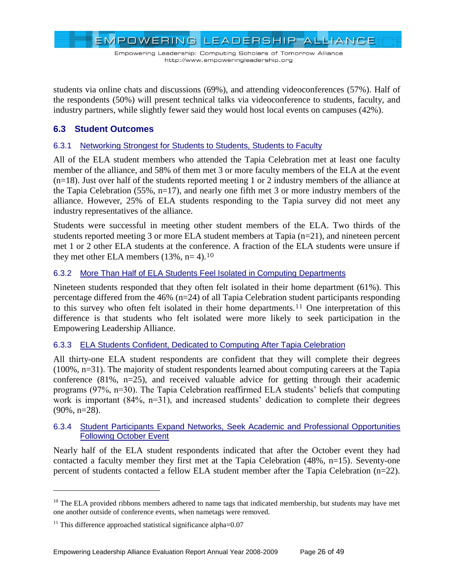EMPOWERING LEADERSHIP ALLIANCE

students via online chats and discussions (69%), and attending videoconferences (57%). Half of the respondents (50%) will present technical talks via videoconference to students, faculty, and industry partners, while slightly fewer said they would host local events on campuses (42%).

# <span id="page-25-0"></span>**6.3 Student Outcomes**

### <span id="page-25-1"></span>6.3.1 Networking Strongest for Students to Students, Students to Faculty

All of the ELA student members who attended the Tapia Celebration met at least one faculty member of the alliance, and 58% of them met 3 or more faculty members of the ELA at the event  $(n=18)$ . Just over half of the students reported meeting 1 or 2 industry members of the alliance at the Tapia Celebration (55%, n=17), and nearly one fifth met 3 or more industry members of the alliance. However, 25% of ELA students responding to the Tapia survey did not meet any industry representatives of the alliance.

Students were successful in meeting other student members of the ELA. Two thirds of the students reported meeting 3 or more ELA student members at Tapia  $(n=21)$ , and nineteen percent met 1 or 2 other ELA students at the conference. A fraction of the ELA students were unsure if they met other ELA members (13%, n= 4).<sup>10</sup>

### <span id="page-25-2"></span>6.3.2 More Than Half of ELA Students Feel Isolated in Computing Departments

Nineteen students responded that they often felt isolated in their home department (61%). This percentage differed from the 46% (n=24) of all Tapia Celebration student participants responding to this survey who often felt isolated in their home departments.<sup>11</sup> One interpretation of this difference is that students who felt isolated were more likely to seek participation in the Empowering Leadership Alliance.

#### <span id="page-25-3"></span>6.3.3 ELA Students Confident, Dedicated to Computing After Tapia Celebration

All thirty-one ELA student respondents are confident that they will complete their degrees (100%, n=31). The majority of student respondents learned about computing careers at the Tapia conference (81%, n=25), and received valuable advice for getting through their academic programs (97%, n=30). The Tapia Celebration reaffirmed ELA students' beliefs that computing work is important (84%, n=31), and increased students' dedication to complete their degrees (90%, n=28).

#### <span id="page-25-4"></span>6.3.4 Student Participants Expand Networks, Seek Academic and Professional Opportunities Following October Event

Nearly half of the ELA student respondents indicated that after the October event they had contacted a faculty member they first met at the Tapia Celebration (48%, n=15). Seventy-one percent of students contacted a fellow ELA student member after the Tapia Celebration (n=22).

 $\overline{a}$ 

 $10$  The ELA provided ribbons members adhered to name tags that indicated membership, but students may have met one another outside of conference events, when nametags were removed.

 $11$  This difference approached statistical significance alpha=0.07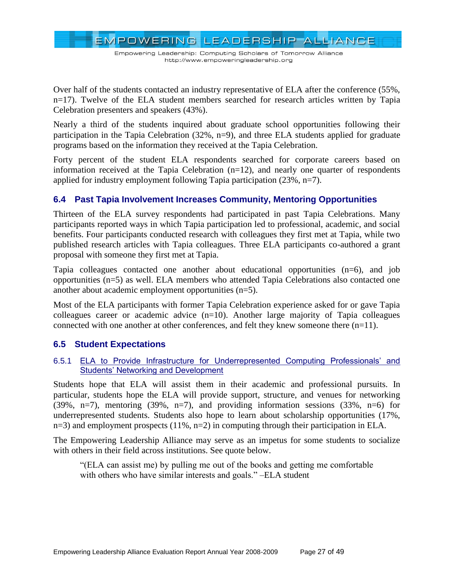EMPOWERING LEADERSHIP ALLIANCE

Over half of the students contacted an industry representative of ELA after the conference (55%, n=17). Twelve of the ELA student members searched for research articles written by Tapia Celebration presenters and speakers (43%).

Nearly a third of the students inquired about graduate school opportunities following their participation in the Tapia Celebration (32%, n=9), and three ELA students applied for graduate programs based on the information they received at the Tapia Celebration.

Forty percent of the student ELA respondents searched for corporate careers based on information received at the Tapia Celebration  $(n=12)$ , and nearly one quarter of respondents applied for industry employment following Tapia participation (23%, n=7).

# <span id="page-26-0"></span>**6.4 Past Tapia Involvement Increases Community, Mentoring Opportunities**

Thirteen of the ELA survey respondents had participated in past Tapia Celebrations. Many participants reported ways in which Tapia participation led to professional, academic, and social benefits. Four participants conducted research with colleagues they first met at Tapia, while two published research articles with Tapia colleagues. Three ELA participants co-authored a grant proposal with someone they first met at Tapia.

Tapia colleagues contacted one another about educational opportunities (n=6), and job opportunities (n=5) as well. ELA members who attended Tapia Celebrations also contacted one another about academic employment opportunities (n=5).

Most of the ELA participants with former Tapia Celebration experience asked for or gave Tapia colleagues career or academic advice  $(n=10)$ . Another large majority of Tapia colleagues connected with one another at other conferences, and felt they knew someone there (n=11).

# <span id="page-26-1"></span>**6.5 Student Expectations**

#### <span id="page-26-2"></span>6.5.1 ELA to Provide Infrastructure for Underrepresented Computing Professionals' and Students' Networking and Development

Students hope that ELA will assist them in their academic and professional pursuits. In particular, students hope the ELA will provide support, structure, and venues for networking (39%, n=7), mentoring (39%, n=7), and providing information sessions (33%, n=6) for underrepresented students. Students also hope to learn about scholarship opportunities (17%,  $n=3$ ) and employment prospects (11%,  $n=2$ ) in computing through their participation in ELA.

The Empowering Leadership Alliance may serve as an impetus for some students to socialize with others in their field across institutions. See quote below.

―(ELA can assist me) by pulling me out of the books and getting me comfortable with others who have similar interests and goals." -ELA student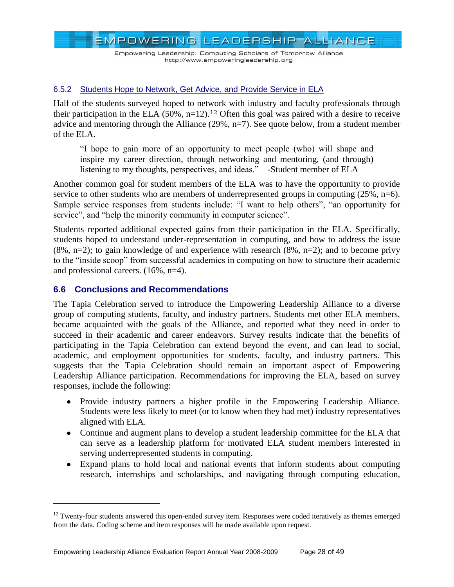Empowering Leadership: Computing Scholars of Tomorrow Alliance http://www.empoweringleadership.org

#### <span id="page-27-0"></span>6.5.2 Students Hope to Network, Get Advice, and Provide Service in ELA

Half of the students surveyed hoped to network with industry and faculty professionals through their participation in the ELA  $(50\%, n=12)$ .<sup>12</sup> Often this goal was paired with a desire to receive advice and mentoring through the Alliance (29%, n=7). See quote below, from a student member of the ELA.

―I hope to gain more of an opportunity to meet people (who) will shape and inspire my career direction, through networking and mentoring, (and through) listening to my thoughts, perspectives, and ideas." -Student member of ELA

Another common goal for student members of the ELA was to have the opportunity to provide service to other students who are members of underrepresented groups in computing (25%, n=6). Sample service responses from students include: "I want to help others", "an opportunity for service", and "help the minority community in computer science".

Students reported additional expected gains from their participation in the ELA. Specifically, students hoped to understand under-representation in computing, and how to address the issue  $(8\% \text{ n=2})$ ; to gain knowledge of and experience with research  $(8\% \text{ n=2})$ ; and to become privy to the "inside scoop" from successful academics in computing on how to structure their academic and professional careers. (16%, n=4).

# <span id="page-27-1"></span>**6.6 Conclusions and Recommendations**

 $\overline{a}$ 

The Tapia Celebration served to introduce the Empowering Leadership Alliance to a diverse group of computing students, faculty, and industry partners. Students met other ELA members, became acquainted with the goals of the Alliance, and reported what they need in order to succeed in their academic and career endeavors. Survey results indicate that the benefits of participating in the Tapia Celebration can extend beyond the event, and can lead to social, academic, and employment opportunities for students, faculty, and industry partners. This suggests that the Tapia Celebration should remain an important aspect of Empowering Leadership Alliance participation. Recommendations for improving the ELA, based on survey responses, include the following:

- Provide industry partners a higher profile in the Empowering Leadership Alliance. Students were less likely to meet (or to know when they had met) industry representatives aligned with ELA.
- Continue and augment plans to develop a student leadership committee for the ELA that can serve as a leadership platform for motivated ELA student members interested in serving underrepresented students in computing.
- Expand plans to hold local and national events that inform students about computing research, internships and scholarships, and navigating through computing education,

 $12$  Twenty-four students answered this open-ended survey item. Responses were coded iteratively as themes emerged from the data. Coding scheme and item responses will be made available upon request.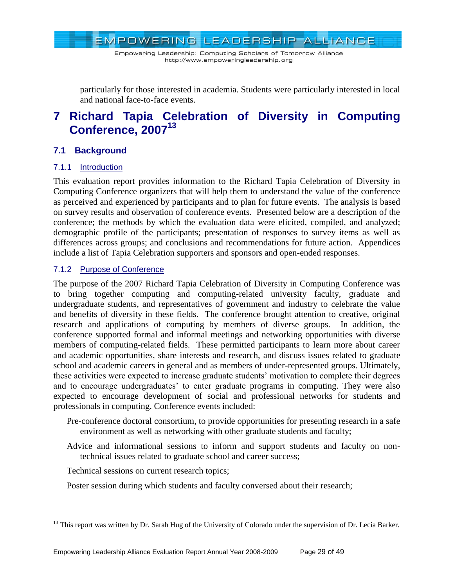Empowering Leadership: Computing Scholars of Tomorrow Alliance http://www.empoweringleadership.org

particularly for those interested in academia. Students were particularly interested in local and national face-to-face events.

# <span id="page-28-0"></span>**7 Richard Tapia Celebration of Diversity in Computing Conference, 2007<sup>13</sup>**

# <span id="page-28-1"></span>**7.1 Background**

# <span id="page-28-2"></span>7.1.1 Introduction

 $\overline{a}$ 

This evaluation report provides information to the Richard Tapia Celebration of Diversity in Computing Conference organizers that will help them to understand the value of the conference as perceived and experienced by participants and to plan for future events. The analysis is based on survey results and observation of conference events. Presented below are a description of the conference; the methods by which the evaluation data were elicited, compiled, and analyzed; demographic profile of the participants; presentation of responses to survey items as well as differences across groups; and conclusions and recommendations for future action. Appendices include a list of Tapia Celebration supporters and sponsors and open-ended responses.

### <span id="page-28-3"></span>7.1.2 Purpose of Conference

The purpose of the 2007 Richard Tapia Celebration of Diversity in Computing Conference was to bring together computing and computing-related university faculty, graduate and undergraduate students, and representatives of government and industry to celebrate the value and benefits of diversity in these fields. The conference brought attention to creative, original research and applications of computing by members of diverse groups. In addition, the conference supported formal and informal meetings and networking opportunities with diverse members of computing-related fields. These permitted participants to learn more about career and academic opportunities, share interests and research, and discuss issues related to graduate school and academic careers in general and as members of under-represented groups. Ultimately, these activities were expected to increase graduate students' motivation to complete their degrees and to encourage undergraduates' to enter graduate programs in computing. They were also expected to encourage development of social and professional networks for students and professionals in computing. Conference events included:

- Pre-conference doctoral consortium, to provide opportunities for presenting research in a safe environment as well as networking with other graduate students and faculty;
- Advice and informational sessions to inform and support students and faculty on nontechnical issues related to graduate school and career success;

Technical sessions on current research topics;

Poster session during which students and faculty conversed about their research;

<sup>&</sup>lt;sup>13</sup> This report was written by Dr. Sarah Hug of the University of Colorado under the supervision of Dr. Lecia Barker.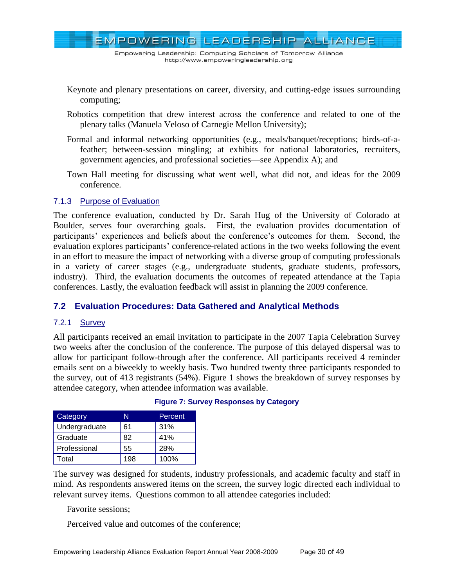EMPOWERING LEADERSHIP ALLIANCE

- Keynote and plenary presentations on career, diversity, and cutting-edge issues surrounding computing;
- Robotics competition that drew interest across the conference and related to one of the plenary talks (Manuela Veloso of Carnegie Mellon University);
- Formal and informal networking opportunities (e.g., meals/banquet/receptions; birds-of-afeather; between-session mingling; at exhibits for national laboratories, recruiters, government agencies, and professional societies—see Appendix A); and
- Town Hall meeting for discussing what went well, what did not, and ideas for the 2009 conference.

#### <span id="page-29-0"></span>7.1.3 Purpose of Evaluation

The conference evaluation, conducted by Dr. Sarah Hug of the University of Colorado at Boulder, serves four overarching goals. First, the evaluation provides documentation of participants' experiences and beliefs about the conference's outcomes for them. Second, the evaluation explores participants' conference-related actions in the two weeks following the event in an effort to measure the impact of networking with a diverse group of computing professionals in a variety of career stages (e.g., undergraduate students, graduate students, professors, industry). Third, the evaluation documents the outcomes of repeated attendance at the Tapia conferences. Lastly, the evaluation feedback will assist in planning the 2009 conference.

# <span id="page-29-1"></span>**7.2 Evaluation Procedures: Data Gathered and Analytical Methods**

#### <span id="page-29-2"></span>7.2.1 Survey

All participants received an email invitation to participate in the 2007 Tapia Celebration Survey two weeks after the conclusion of the conference. The purpose of this delayed dispersal was to allow for participant follow-through after the conference. All participants received 4 reminder emails sent on a biweekly to weekly basis. Two hundred twenty three participants responded to the survey, out of 413 registrants (54%). Figure 1 shows the breakdown of survey responses by attendee category, when attendee information was available.

| Category      | N   | Percent |
|---------------|-----|---------|
| Undergraduate | 61  | 31%     |
| Graduate      | 82  | 41%     |
| Professional  | 55  | 28%     |
| Total         | 198 | 100%    |

#### **Figure 7: Survey Responses by Category**

The survey was designed for students, industry professionals, and academic faculty and staff in mind. As respondents answered items on the screen, the survey logic directed each individual to relevant survey items. Questions common to all attendee categories included:

#### Favorite sessions;

Perceived value and outcomes of the conference;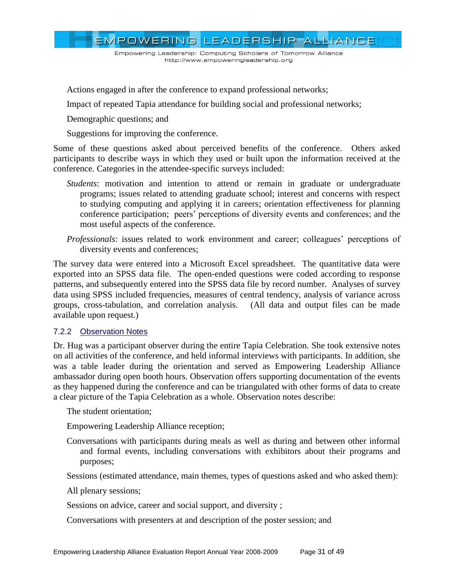EMPOWERING LEADERSHIP ALLIANCE

Actions engaged in after the conference to expand professional networks;

Impact of repeated Tapia attendance for building social and professional networks;

Demographic questions; and

Suggestions for improving the conference.

Some of these questions asked about perceived benefits of the conference. Others asked participants to describe ways in which they used or built upon the information received at the conference. Categories in the attendee-specific surveys included:

- *Students*: motivation and intention to attend or remain in graduate or undergraduate programs; issues related to attending graduate school; interest and concerns with respect to studying computing and applying it in careers; orientation effectiveness for planning conference participation; peers' perceptions of diversity events and conferences; and the most useful aspects of the conference.
- *Professionals*: issues related to work environment and career; colleagues' perceptions of diversity events and conferences;

The survey data were entered into a Microsoft Excel spreadsheet. The quantitative data were exported into an SPSS data file. The open-ended questions were coded according to response patterns, and subsequently entered into the SPSS data file by record number. Analyses of survey data using SPSS included frequencies, measures of central tendency, analysis of variance across groups, cross-tabulation, and correlation analysis. (All data and output files can be made available upon request.)

#### <span id="page-30-0"></span>7.2.2 Observation Notes

Dr. Hug was a participant observer during the entire Tapia Celebration. She took extensive notes on all activities of the conference, and held informal interviews with participants. In addition, she was a table leader during the orientation and served as Empowering Leadership Alliance ambassador during open booth hours. Observation offers supporting documentation of the events as they happened during the conference and can be triangulated with other forms of data to create a clear picture of the Tapia Celebration as a whole. Observation notes describe:

The student orientation;

Empowering Leadership Alliance reception;

Conversations with participants during meals as well as during and between other informal and formal events, including conversations with exhibitors about their programs and purposes;

Sessions (estimated attendance, main themes, types of questions asked and who asked them):

All plenary sessions;

Sessions on advice, career and social support, and diversity ;

Conversations with presenters at and description of the poster session; and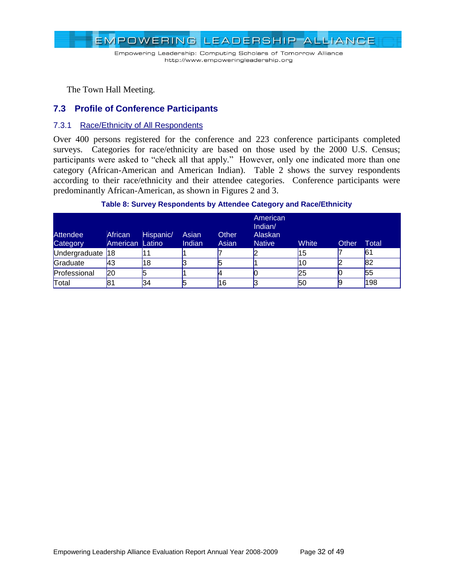

The Town Hall Meeting.

### <span id="page-31-0"></span>**7.3 Profile of Conference Participants**

#### <span id="page-31-1"></span>7.3.1 Race/Ethnicity of All Respondents

Over 400 persons registered for the conference and 223 conference participants completed surveys. Categories for race/ethnicity are based on those used by the 2000 U.S. Census; participants were asked to "check all that apply." However, only one indicated more than one category (African-American and American Indian). Table 2 shows the survey respondents according to their race/ethnicity and their attendee categories. Conference participants were predominantly African-American, as shown in Figures 2 and 3.

#### **Table 8: Survey Respondents by Attendee Category and Race/Ethnicity**

| Attendee<br>Category | African<br>American Latino | Hispanic/ | Asian<br>Indian | <b>Other</b><br>Asian | American<br>Indian/<br>Alaskan<br><b>Native</b> | White | Other | Total |
|----------------------|----------------------------|-----------|-----------------|-----------------------|-------------------------------------------------|-------|-------|-------|
| Undergraduate 18     |                            |           |                 |                       |                                                 | 15    |       | 61    |
| Graduate             | l43                        | 18        |                 |                       |                                                 | '10   |       | 82    |
| Professional         | l20                        |           |                 |                       |                                                 | 25    |       | 55    |
| Total                | 81                         | 34        |                 | 16                    |                                                 | 50    | g     | 198   |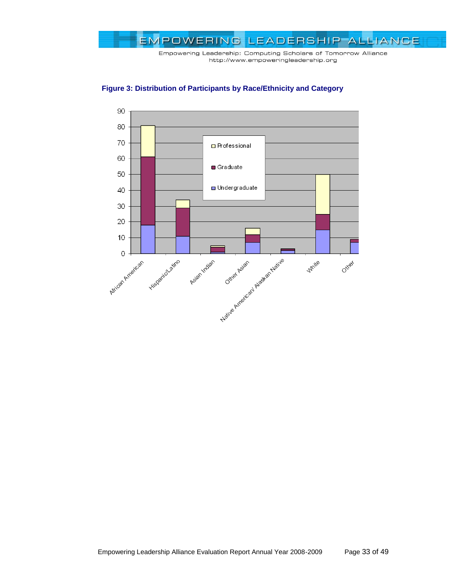



**Figure 3: Distribution of Participants by Race/Ethnicity and Category**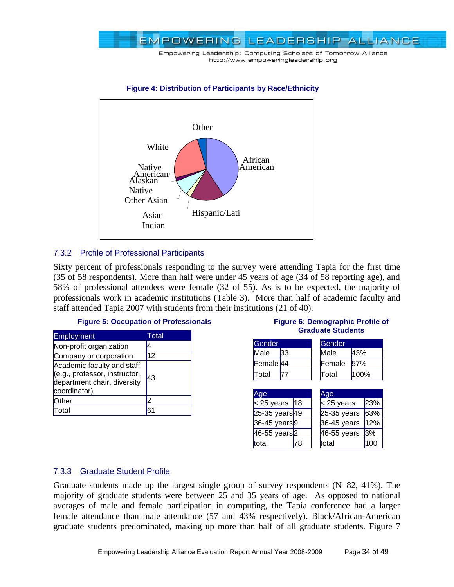



#### **Figure 4: Distribution of Participants by Race/Ethnicity**

# <span id="page-33-0"></span>7.3.2 Profile of Professional Participants

Sixty percent of professionals responding to the survey were attending Tapia for the first time (35 of 58 respondents). More than half were under 45 years of age (34 of 58 reporting age), and 58% of professional attendees were female (32 of 55). As is to be expected, the majority of professionals work in academic institutions (Table 3). More than half of academic faculty and staff attended Tapia 2007 with students from their institutions (21 of 40).

#### **Figure 5: Occupation of Professionals**

| Employment                                                                                                 | Total |
|------------------------------------------------------------------------------------------------------------|-------|
| Non-profit organization                                                                                    | 4     |
| Company or corporation                                                                                     | 12    |
| Academic faculty and staff<br>(e.g., professor, instructor,<br>department chair, diversity<br>coordinator) | 43    |
| Other                                                                                                      |       |
| Total                                                                                                      | 61    |

#### **Figure 6: Demographic Profile of Graduate Students**

| Gender    |    | Gender     |      |
|-----------|----|------------|------|
| Male      | 33 | Male       | 43%  |
| Female 44 |    | Female     | 57%  |
| Total     |    | Total      | 100% |
|           |    |            |      |
| Age       |    | <b>Age</b> |      |

| nya                      |    | Aya           |     |
|--------------------------|----|---------------|-----|
| $<$ 25 years 18          |    | $25$ years    | 23% |
| 25-35 years 49           |    | $25-35$ years | 63% |
| 36-45 years <sup>9</sup> |    | $36-45$ years | 12% |
| 46-55 years <sup>2</sup> |    | 46-55 years   | 3%  |
| total                    | '8 | total         | 100 |

#### <span id="page-33-1"></span>7.3.3 Graduate Student Profile

Graduate students made up the largest single group of survey respondents (N=82, 41%). The majority of graduate students were between 25 and 35 years of age. As opposed to national averages of male and female participation in computing, the Tapia conference had a larger female attendance than male attendance (57 and 43% respectively). Black/African-American graduate students predominated, making up more than half of all graduate students. Figure 7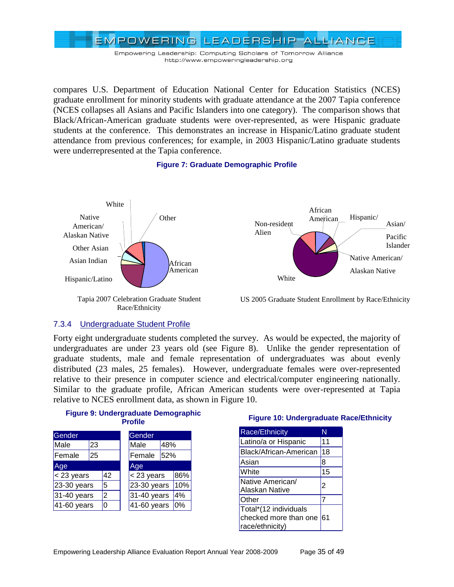

compares U.S. Department of Education National Center for Education Statistics (NCES) graduate enrollment for minority students with graduate attendance at the 2007 Tapia conference (NCES collapses all Asians and Pacific Islanders into one category). The comparison shows that Black/African-American graduate students were over-represented, as were Hispanic graduate students at the conference. This demonstrates an increase in Hispanic/Latino graduate student attendance from previous conferences; for example, in 2003 Hispanic/Latino graduate students were underrepresented at the Tapia conference.

#### **Figure 7: Graduate Demographic Profile**



#### <span id="page-34-0"></span>7.3.4 Undergraduate Student Profile

Forty eight undergraduate students completed the survey. As would be expected, the majority of undergraduates are under 23 years old (see Figure 8). Unlike the gender representation of graduate students, male and female representation of undergraduates was about evenly distributed (23 males, 25 females). However, undergraduate females were over-represented relative to their presence in computer science and electrical/computer engineering nationally. Similar to the graduate profile, African American students were over-represented at Tapia relative to NCES enrollment data, as shown in Figure 10.

**Figure 9: Undergraduate Demographic Profile**

| Gender        |    |    | Gender      |     |     |  |  |
|---------------|----|----|-------------|-----|-----|--|--|
| Male          | 23 |    | Male        | 48% |     |  |  |
| Female        | 25 |    | Female      | 52% |     |  |  |
| Age           |    |    | Age         |     |     |  |  |
| < 23 years    |    | 42 | < 23 years  |     | 86% |  |  |
| $23-30$ years |    | 5  | 23-30 years |     | 10% |  |  |
| 31-40 years   |    | 2  | 31-40 years |     | 4%  |  |  |
| 41-60 years   |    | 0  | 41-60 years |     | 0%  |  |  |

#### **Figure 10: Undergraduate Race/Ethnicity**

| <b>Race/Ethnicity</b>                                             |     |
|-------------------------------------------------------------------|-----|
| Latino/a or Hispanic                                              | 11  |
| Black/African-American                                            | 18  |
| Asian                                                             | 8   |
| White                                                             | 15  |
| Native American/<br><b>Alaskan Native</b>                         | 2   |
| Other                                                             |     |
| Total*(12 individuals<br>checked more than one<br>race/ethnicity) | 161 |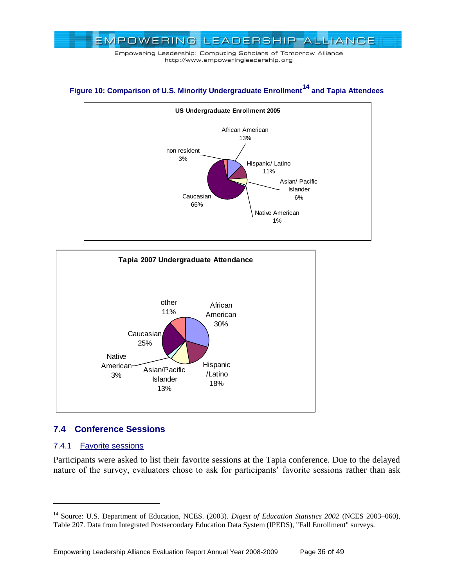

# **Figure 10: Comparison of U.S. Minority Undergraduate Enrollment<sup>14</sup> and Tapia Attendees**





# <span id="page-35-0"></span>**7.4 Conference Sessions**

#### <span id="page-35-1"></span>7.4.1 Favorite sessions

 $\overline{a}$ 

Participants were asked to list their favorite sessions at the Tapia conference. Due to the delayed nature of the survey, evaluators chose to ask for participants' favorite sessions rather than ask

<sup>&</sup>lt;sup>14</sup> Source: U.S. Department of Education, NCES. (2003). *Digest of Education Statistics 2002* (NCES 2003-060), Table 207. Data from Integrated Postsecondary Education Data System (IPEDS), "Fall Enrollment" surveys.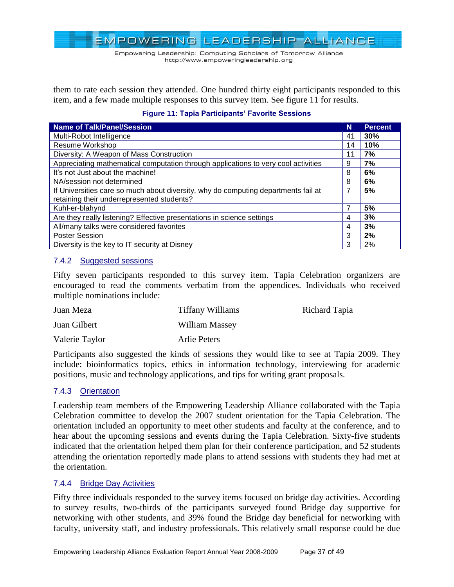Empowering Leadership: Computing Scholars of Tomorrow Alliance http://www.empoweringleadership.org

them to rate each session they attended. One hundred thirty eight participants responded to this item, and a few made multiple responses to this survey item. See figure 11 for results.

| <b>Name of Talk/Panel/Session</b>                                                  | N  | <b>Percent</b> |
|------------------------------------------------------------------------------------|----|----------------|
| Multi-Robot Intelligence                                                           | 41 | 30%            |
| Resume Workshop                                                                    | 14 | 10%            |
| Diversity: A Weapon of Mass Construction                                           | 11 | 7%             |
| Appreciating mathematical computation through applications to very cool activities | 9  | 7%             |
| It's not Just about the machine!                                                   | 8  | 6%             |
| NA/session not determined                                                          | 8  | 6%             |
| If Universities care so much about diversity, why do computing departments fail at | 7  | 5%             |
| retaining their underrepresented students?                                         |    |                |
| Kuhl-er-blahynd                                                                    | 7  | 5%             |
| Are they really listening? Effective presentations in science settings             | 4  | 3%             |
| All/many talks were considered favorites                                           | 4  | 3%             |
| <b>Poster Session</b>                                                              | 3  | 2%             |
| Diversity is the key to IT security at Disney                                      | 3  | 2%             |

#### **Figure 11: Tapia Participants' Favorite Sessions**

#### <span id="page-36-0"></span>7.4.2 Suggested sessions

Fifty seven participants responded to this survey item. Tapia Celebration organizers are encouraged to read the comments verbatim from the appendices. Individuals who received multiple nominations include:

| Juan Meza      | <b>Tiffany Williams</b> | Richard Tapia |
|----------------|-------------------------|---------------|
| Juan Gilbert   | William Massey          |               |
| Valerie Taylor | Arlie Peters            |               |

Participants also suggested the kinds of sessions they would like to see at Tapia 2009. They include: bioinformatics topics, ethics in information technology, interviewing for academic positions, music and technology applications, and tips for writing grant proposals.

#### <span id="page-36-1"></span>7.4.3 Orientation

Leadership team members of the Empowering Leadership Alliance collaborated with the Tapia Celebration committee to develop the 2007 student orientation for the Tapia Celebration. The orientation included an opportunity to meet other students and faculty at the conference, and to hear about the upcoming sessions and events during the Tapia Celebration. Sixty-five students indicated that the orientation helped them plan for their conference participation, and 52 students attending the orientation reportedly made plans to attend sessions with students they had met at the orientation.

#### <span id="page-36-2"></span>7.4.4 Bridge Day Activities

Fifty three individuals responded to the survey items focused on bridge day activities. According to survey results, two-thirds of the participants surveyed found Bridge day supportive for networking with other students, and 39% found the Bridge day beneficial for networking with faculty, university staff, and industry professionals. This relatively small response could be due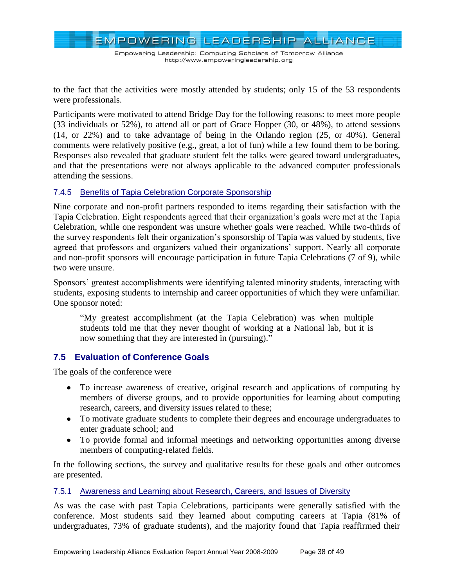EMPOWERING LEADERSHIP ALLIANCE

to the fact that the activities were mostly attended by students; only 15 of the 53 respondents were professionals.

Participants were motivated to attend Bridge Day for the following reasons: to meet more people (33 individuals or 52%), to attend all or part of Grace Hopper (30, or 48%), to attend sessions (14, or 22%) and to take advantage of being in the Orlando region (25, or 40%). General comments were relatively positive (e.g., great, a lot of fun) while a few found them to be boring. Responses also revealed that graduate student felt the talks were geared toward undergraduates, and that the presentations were not always applicable to the advanced computer professionals attending the sessions.

### <span id="page-37-0"></span>7.4.5 Benefits of Tapia Celebration Corporate Sponsorship

Nine corporate and non-profit partners responded to items regarding their satisfaction with the Tapia Celebration. Eight respondents agreed that their organization's goals were met at the Tapia Celebration, while one respondent was unsure whether goals were reached. While two-thirds of the survey respondents felt their organization's sponsorship of Tapia was valued by students, five agreed that professors and organizers valued their organizations' support. Nearly all corporate and non-profit sponsors will encourage participation in future Tapia Celebrations (7 of 9), while two were unsure.

Sponsors' greatest accomplishments were identifying talented minority students, interacting with students, exposing students to internship and career opportunities of which they were unfamiliar. One sponsor noted:

―My greatest accomplishment (at the Tapia Celebration) was when multiple students told me that they never thought of working at a National lab, but it is now something that they are interested in (pursuing)."

# <span id="page-37-1"></span>**7.5 Evaluation of Conference Goals**

The goals of the conference were

- To increase awareness of creative, original research and applications of computing by members of diverse groups, and to provide opportunities for learning about computing research, careers, and diversity issues related to these;
- To motivate graduate students to complete their degrees and encourage undergraduates to enter graduate school; and
- To provide formal and informal meetings and networking opportunities among diverse members of computing-related fields.

In the following sections, the survey and qualitative results for these goals and other outcomes are presented.

# <span id="page-37-2"></span>7.5.1 Awareness and Learning about Research, Careers, and Issues of Diversity

As was the case with past Tapia Celebrations, participants were generally satisfied with the conference. Most students said they learned about computing careers at Tapia (81% of undergraduates, 73% of graduate students), and the majority found that Tapia reaffirmed their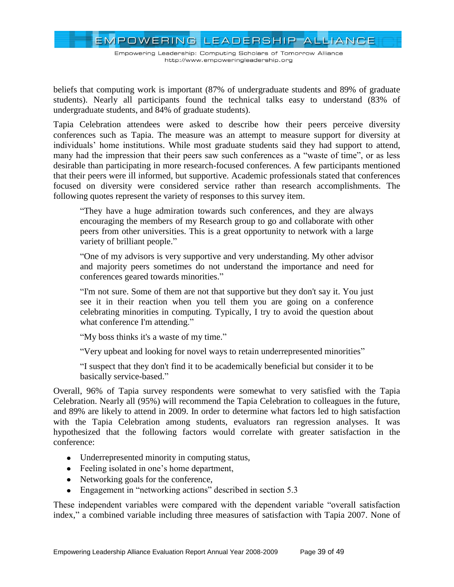EMPOWERING LEADERSHIP ALLIANCE

beliefs that computing work is important (87% of undergraduate students and 89% of graduate students). Nearly all participants found the technical talks easy to understand (83% of undergraduate students, and 84% of graduate students).

Tapia Celebration attendees were asked to describe how their peers perceive diversity conferences such as Tapia. The measure was an attempt to measure support for diversity at individuals' home institutions. While most graduate students said they had support to attend, many had the impression that their peers saw such conferences as a "waste of time", or as less desirable than participating in more research-focused conferences. A few participants mentioned that their peers were ill informed, but supportive. Academic professionals stated that conferences focused on diversity were considered service rather than research accomplishments. The following quotes represent the variety of responses to this survey item.

―They have a huge admiration towards such conferences, and they are always encouraging the members of my Research group to go and collaborate with other peers from other universities. This is a great opportunity to network with a large variety of brilliant people."

―One of my advisors is very supportive and very understanding. My other advisor and majority peers sometimes do not understand the importance and need for conferences geared towards minorities."

―I'm not sure. Some of them are not that supportive but they don't say it. You just see it in their reaction when you tell them you are going on a conference celebrating minorities in computing. Typically, I try to avoid the question about what conference I'm attending."

"My boss thinks it's a waste of my time."

"Very upbeat and looking for novel ways to retain underrepresented minorities"

―I suspect that they don't find it to be academically beneficial but consider it to be basically service-based."

Overall, 96% of Tapia survey respondents were somewhat to very satisfied with the Tapia Celebration. Nearly all (95%) will recommend the Tapia Celebration to colleagues in the future, and 89% are likely to attend in 2009. In order to determine what factors led to high satisfaction with the Tapia Celebration among students, evaluators ran regression analyses. It was hypothesized that the following factors would correlate with greater satisfaction in the conference:

- Underrepresented minority in computing status,
- Feeling isolated in one's home department,
- Networking goals for the conference,
- Engagement in "networking actions" described in section  $5.3$

These independent variables were compared with the dependent variable "overall satisfaction index," a combined variable including three measures of satisfaction with Tapia 2007. None of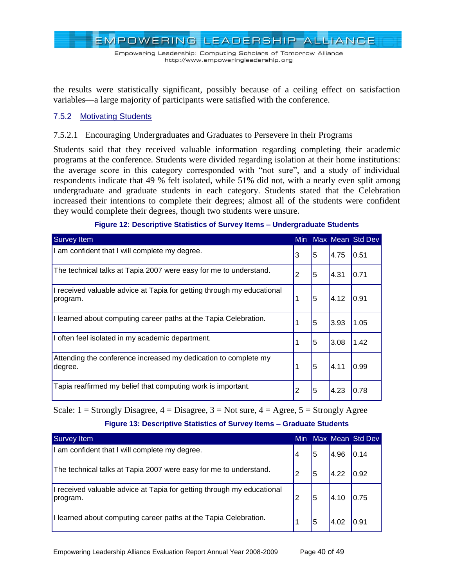EMPOWERING LEADERSHIP ALLIANCE

the results were statistically significant, possibly because of a ceiling effect on satisfaction variables—a large majority of participants were satisfied with the conference.

#### <span id="page-39-0"></span>7.5.2 Motivating Students

#### 7.5.2.1 Encouraging Undergraduates and Graduates to Persevere in their Programs

Students said that they received valuable information regarding completing their academic programs at the conference. Students were divided regarding isolation at their home institutions: the average score in this category corresponded with "not sure", and a study of individual respondents indicate that 49 % felt isolated, while 51% did not, with a nearly even split among undergraduate and graduate students in each category. Students stated that the Celebration increased their intentions to complete their degrees; almost all of the students were confident they would complete their degrees, though two students were unsure.

| <b>Survey Item</b>                                                                 |   |   |      | Min Max Mean Std Dev |
|------------------------------------------------------------------------------------|---|---|------|----------------------|
| I am confident that I will complete my degree.                                     | 3 | 5 | 4.75 | 0.51                 |
| The technical talks at Tapia 2007 were easy for me to understand.                  | 2 | 5 | 4.31 | 0.71                 |
| I received valuable advice at Tapia for getting through my educational<br>program. |   | 5 | 4.12 | 0.91                 |
| I learned about computing career paths at the Tapia Celebration.                   |   | 5 | 3.93 | 1.05                 |
| I often feel isolated in my academic department.                                   |   | 5 | 3.08 | 1.42                 |
| Attending the conference increased my dedication to complete my<br>degree.         |   | 5 | 4.11 | 0.99                 |
| Tapia reaffirmed my belief that computing work is important.                       | 2 | 5 | 4.23 | 0.78                 |

#### **Figure 12: Descriptive Statistics of Survey Items – Undergraduate Students**

Scale:  $1 =$  Strongly Disagree,  $4 =$  Disagree,  $3 =$  Not sure,  $4 =$  Agree,  $5 =$  Strongly Agree

#### **Figure 13: Descriptive Statistics of Survey Items – Graduate Students**

| Survey Item                                                                        |   |   |      | Min Max Mean Std Dev |
|------------------------------------------------------------------------------------|---|---|------|----------------------|
| I am confident that I will complete my degree.                                     | 4 | 5 | 4.96 | 0.14                 |
| The technical talks at Tapia 2007 were easy for me to understand.                  | 2 | 5 | 4.22 | 0.92                 |
| I received valuable advice at Tapia for getting through my educational<br>program. | 2 | 5 | 4.10 |                      |
| I learned about computing career paths at the Tapia Celebration.                   |   | 5 | 4.02 | 0.91                 |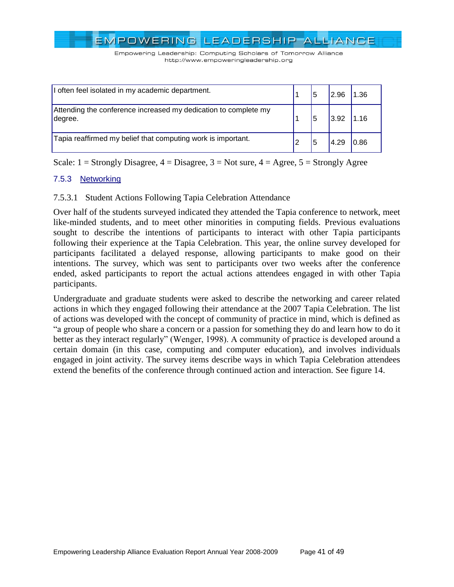Empowering Leadership: Computing Scholars of Tomorrow Alliance http://www.empoweringleadership.org

| I often feel isolated in my academic department.                           | 5 | I296 |  |
|----------------------------------------------------------------------------|---|------|--|
| Attending the conference increased my dedication to complete my<br>degree. | 5 | 3.92 |  |
| Tapia reaffirmed my belief that computing work is important.               | 5 |      |  |

Scale:  $1 =$  Strongly Disagree,  $4 =$  Disagree,  $3 =$  Not sure,  $4 =$  Agree,  $5 =$  Strongly Agree

# <span id="page-40-0"></span>7.5.3 Networking

### 7.5.3.1 Student Actions Following Tapia Celebration Attendance

Over half of the students surveyed indicated they attended the Tapia conference to network, meet like-minded students, and to meet other minorities in computing fields. Previous evaluations sought to describe the intentions of participants to interact with other Tapia participants following their experience at the Tapia Celebration. This year, the online survey developed for participants facilitated a delayed response, allowing participants to make good on their intentions. The survey, which was sent to participants over two weeks after the conference ended, asked participants to report the actual actions attendees engaged in with other Tapia participants.

Undergraduate and graduate students were asked to describe the networking and career related actions in which they engaged following their attendance at the 2007 Tapia Celebration. The list of actions was developed with the concept of community of practice in mind, which is defined as ―a group of people who share a concern or a passion for something they do and learn how to do it better as they interact regularly" (Wenger, 1998). A community of practice is developed around a certain domain (in this case, computing and computer education), and involves individuals engaged in joint activity. The survey items describe ways in which Tapia Celebration attendees extend the benefits of the conference through continued action and interaction. See figure 14.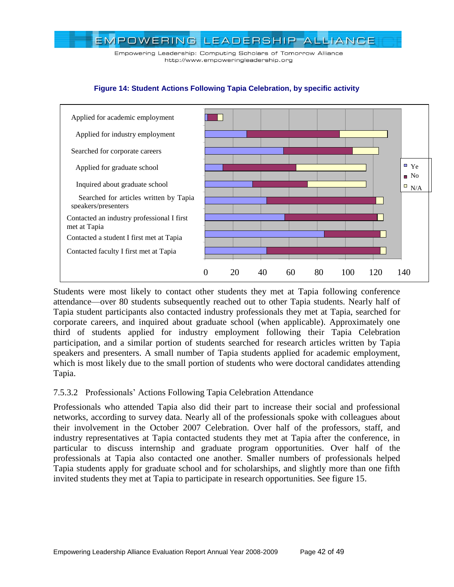Empowering Leadership: Computing Scholars of Tomorrow Alliance http://www.empoweringleadership.org



#### **Figure 14: Student Actions Following Tapia Celebration, by specific activity**

Students were most likely to contact other students they met at Tapia following conference attendance—over 80 students subsequently reached out to other Tapia students. Nearly half of Tapia student participants also contacted industry professionals they met at Tapia, searched for corporate careers, and inquired about graduate school (when applicable). Approximately one third of students applied for industry employment following their Tapia Celebration participation, and a similar portion of students searched for research articles written by Tapia speakers and presenters. A small number of Tapia students applied for academic employment, which is most likely due to the small portion of students who were doctoral candidates attending Tapia.

#### 7.5.3.2 Professionals' Actions Following Tapia Celebration Attendance

Professionals who attended Tapia also did their part to increase their social and professional networks, according to survey data. Nearly all of the professionals spoke with colleagues about their involvement in the October 2007 Celebration. Over half of the professors, staff, and industry representatives at Tapia contacted students they met at Tapia after the conference, in particular to discuss internship and graduate program opportunities. Over half of the professionals at Tapia also contacted one another. Smaller numbers of professionals helped Tapia students apply for graduate school and for scholarships, and slightly more than one fifth invited students they met at Tapia to participate in research opportunities. See figure 15.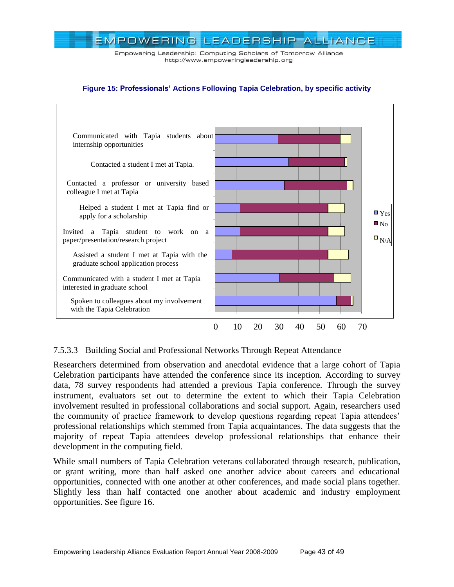



#### **Figure 15: Professionals' Actions Following Tapia Celebration, by specific activity**

# 7.5.3.3 Building Social and Professional Networks Through Repeat Attendance

Researchers determined from observation and anecdotal evidence that a large cohort of Tapia Celebration participants have attended the conference since its inception. According to survey data, 78 survey respondents had attended a previous Tapia conference. Through the survey instrument, evaluators set out to determine the extent to which their Tapia Celebration involvement resulted in professional collaborations and social support. Again, researchers used the community of practice framework to develop questions regarding repeat Tapia attendees' professional relationships which stemmed from Tapia acquaintances. The data suggests that the majority of repeat Tapia attendees develop professional relationships that enhance their development in the computing field.

While small numbers of Tapia Celebration veterans collaborated through research, publication, or grant writing, more than half asked one another advice about careers and educational opportunities, connected with one another at other conferences, and made social plans together. Slightly less than half contacted one another about academic and industry employment opportunities. See figure 16.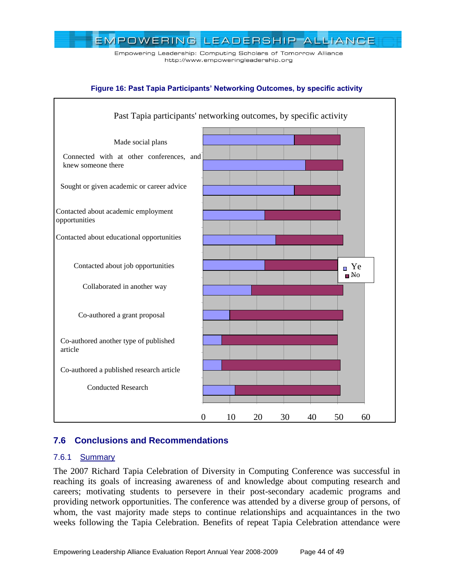Empowering Leadership: Computing Scholars of Tomorrow Alliance http://www.empoweringleadership.org

#### **Figure 16: Past Tapia Participants' Networking Outcomes, by specific activity**



# <span id="page-43-0"></span>**7.6 Conclusions and Recommendations**

#### <span id="page-43-1"></span>7.6.1 Summary

The 2007 Richard Tapia Celebration of Diversity in Computing Conference was successful in reaching its goals of increasing awareness of and knowledge about computing research and careers; motivating students to persevere in their post-secondary academic programs and providing network opportunities. The conference was attended by a diverse group of persons, of whom, the vast majority made steps to continue relationships and acquaintances in the two weeks following the Tapia Celebration. Benefits of repeat Tapia Celebration attendance were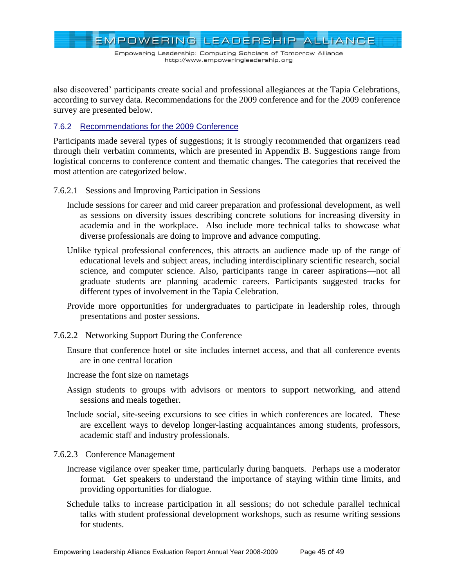EMPOWERING LEADERSHIP ALLIANCE

also discovered' participants create social and professional allegiances at the Tapia Celebrations, according to survey data. Recommendations for the 2009 conference and for the 2009 conference survey are presented below.

### <span id="page-44-0"></span>7.6.2 Recommendations for the 2009 Conference

Participants made several types of suggestions; it is strongly recommended that organizers read through their verbatim comments, which are presented in Appendix B. Suggestions range from logistical concerns to conference content and thematic changes. The categories that received the most attention are categorized below.

- 7.6.2.1 Sessions and Improving Participation in Sessions
	- Include sessions for career and mid career preparation and professional development, as well as sessions on diversity issues describing concrete solutions for increasing diversity in academia and in the workplace. Also include more technical talks to showcase what diverse professionals are doing to improve and advance computing.
	- Unlike typical professional conferences, this attracts an audience made up of the range of educational levels and subject areas, including interdisciplinary scientific research, social science, and computer science. Also, participants range in career aspirations—not all graduate students are planning academic careers. Participants suggested tracks for different types of involvement in the Tapia Celebration.
	- Provide more opportunities for undergraduates to participate in leadership roles, through presentations and poster sessions.

#### 7.6.2.2 Networking Support During the Conference

- Ensure that conference hotel or site includes internet access, and that all conference events are in one central location
- Increase the font size on nametags
- Assign students to groups with advisors or mentors to support networking, and attend sessions and meals together.
- Include social, site-seeing excursions to see cities in which conferences are located. These are excellent ways to develop longer-lasting acquaintances among students, professors, academic staff and industry professionals.
- 7.6.2.3 Conference Management
	- Increase vigilance over speaker time, particularly during banquets. Perhaps use a moderator format. Get speakers to understand the importance of staying within time limits, and providing opportunities for dialogue.
	- Schedule talks to increase participation in all sessions; do not schedule parallel technical talks with student professional development workshops, such as resume writing sessions for students.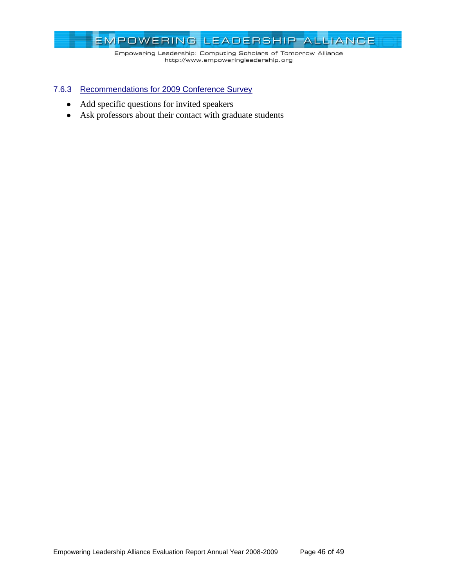

#### <span id="page-45-0"></span>7.6.3 Recommendations for 2009 Conference Survey

- Add specific questions for invited speakers
- Ask professors about their contact with graduate students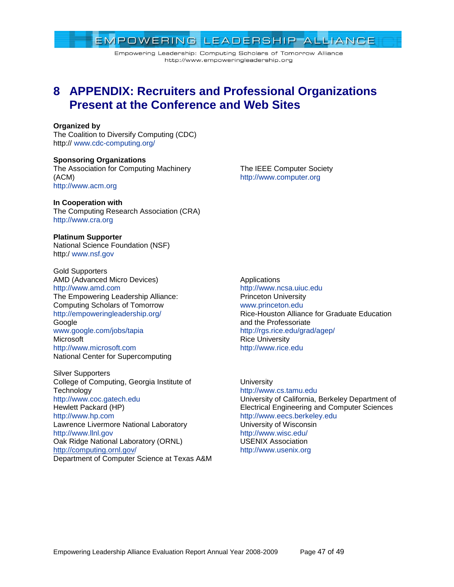# EMPOWERING LEADERSHIP ALLIANCE Empowering Leadership: Computing Scholars of Tomorrow Alliance

http://www.empoweringleadership.org

# <span id="page-46-0"></span>**8 APPENDIX: Recruiters and Professional Organizations Present at the Conference and Web Sites**

#### **Organized by**

The Coalition to Diversify Computing (CDC) http:// [www.cdc-computing.org/](http://www.cdc-computing.org/)

**Sponsoring Organizations** The Association for Computing Machinery (ACM) [http://www.acm.org](http://www.acm.org/)

**In Cooperation with**

The Computing Research Association (CRA) [http://www.cra.org](http://www.cra.org/)

**Platinum Supporter** National Science Foundation (NSF) http:/ [www.nsf.gov](http://www.nsf.gov/)

Gold Supporters AMD (Advanced Micro Devices) [http://www.amd.com](http://www.amd.com/) The Empowering Leadership Alliance: Computing Scholars of Tomorrow <http://empoweringleadership.org/> Google [www.google.com/jobs/tapia](http://www.google.com/jobs/tapia) **Microsoft** [http://www.microsoft.com](http://www.microsoft.com/) National Center for Supercomputing

Silver Supporters College of Computing, Georgia Institute of **Technology** [http://www.coc.gatech.edu](http://www.coc.gatech.edu/) Hewlett Packard (HP) [http://www.hp.com](http://www.hp.com/) Lawrence Livermore National Laboratory [http://www.llnl.gov](http://www.llnl.gov/) Oak Ridge National Laboratory (ORNL) <http://computing.ornl.gov/> Department of Computer Science at Texas A&M

**Applications** [http://www.ncsa.uiuc.edu](http://www.ncsa.uiuc.edu/) Princeton University [www.princeton.edu](http://www.princeton.edu/) Rice-Houston Alliance for Graduate Education and the Professoriate <http://rgs.rice.edu/grad/agep/> Rice University [http://www.rice.edu](http://www.rice.edu/)

**University** [http://www.cs.tamu.edu](http://www.cs.tamu.edu/) University of California, Berkeley Department of Electrical Engineering and Computer Sciences [http://www.eecs.berkeley.edu](http://www.eecs.berkeley.edu/) University of Wisconsin <http://www.wisc.edu/> USENIX Association [http://www.usenix.org](http://www.usenix.org/)

The IEEE Computer Society [http://www.computer.org](http://www.computer.org/)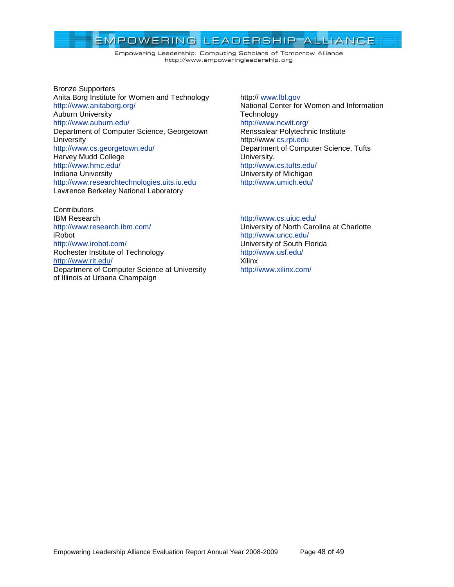Empowering Leadership: Computing Scholars of Tomorrow Alliance http://www.empoweringleadership.org

Bronze Supporters Anita Borg Institute for Women and Technology <http://www.anitaborg.org/> Auburn University <http://www.auburn.edu/> Department of Computer Science, Georgetown **University** <http://www.cs.georgetown.edu/> Harvey Mudd College <http://www.hmc.edu/> Indiana University [http://www.researchtechnologies.uits.iu.edu](http://www.researchtechnologies.uits.iu.edu/) Lawrence Berkeley National Laboratory

**Contributors** IBM Research <http://www.research.ibm.com/> iRobot <http://www.irobot.com/> Rochester Institute of Technology <http://www.rit.edu/> Department of Computer Science at University of Illinois at Urbana Champaign

http:// [www.lbl.gov](http://www.lbl.gov/) National Center for Women and Information **Technology** <http://www.ncwit.org/> Renssalear Polytechnic Institute http://www [cs.rpi.edu](http://cs.rpi.edu/) Department of Computer Science, Tufts University. <http://www.cs.tufts.edu/> University of Michigan <http://www.umich.edu/>

#### <http://www.cs.uiuc.edu/>

University of North Carolina at Charlotte <http://www.uncc.edu/> University of South Florida <http://www.usf.edu/> Xilinx <http://www.xilinx.com/>